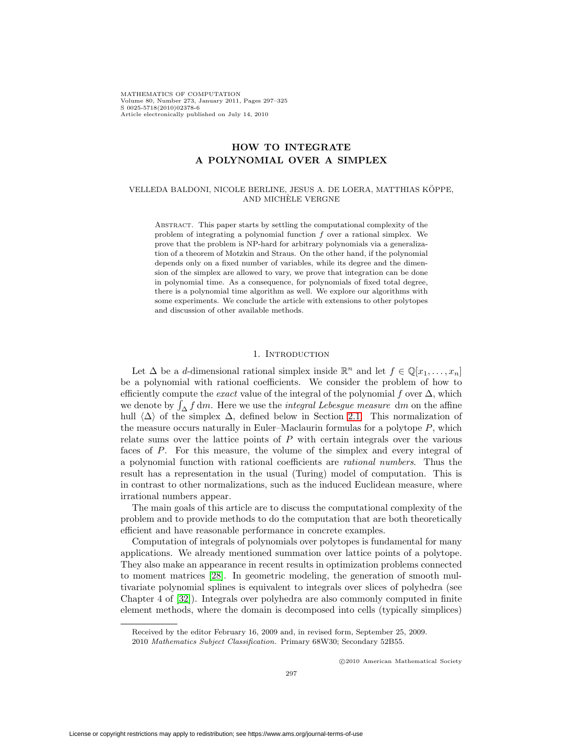MATHEMATICS OF COMPUTATION Volume 80, Number 273, January 2011, Pages 297–325 S 0025-5718(2010)02378-6 Article electronically published on July 14, 2010

# **HOW TO INTEGRATE A POLYNOMIAL OVER A SIMPLEX**

#### VELLEDA BALDONI, NICOLE BERLINE, JESUS A. DE LOERA, MATTHIAS KOPPE, ¨ AND MICHELE VERGNE `

Abstract. This paper starts by settling the computational complexity of the problem of integrating a polynomial function f over a rational simplex. We prove that the problem is NP-hard for arbitrary polynomials via a generalization of a theorem of Motzkin and Straus. On the other hand, if the polynomial depends only on a fixed number of variables, while its degree and the dimension of the simplex are allowed to vary, we prove that integration can be done in polynomial time. As a consequence, for polynomials of fixed total degree, there is a polynomial time algorithm as well. We explore our algorithms with some experiments. We conclude the article with extensions to other polytopes and discussion of other available methods.

#### 1. INTRODUCTION

Let  $\Delta$  be a d-dimensional rational simplex inside  $\mathbb{R}^n$  and let  $f \in \mathbb{Q}[x_1,\ldots,x_n]$ be a polynomial with rational coefficients. We consider the problem of how to efficiently compute the *exact* value of the integral of the polynomial f over  $\Delta$ , which we denote by  $\int_{\Delta} f dm$ . Here we use the *integral Lebesgue measure dm* on the affine hull  $\langle \Delta \rangle$  of the simplex  $\Delta$ , defined below in Section [2.1.](#page-3-0) This normalization of the measure occurs naturally in Euler–Maclaurin formulas for a polytope  $P$ , which relate sums over the lattice points of P with certain integrals over the various faces of P. For this measure, the volume of the simplex and every integral of a polynomial function with rational coefficients are rational numbers. Thus the result has a representation in the usual (Turing) model of computation. This is in contrast to other normalizations, such as the induced Euclidean measure, where irrational numbers appear.

The main goals of this article are to discuss the computational complexity of the problem and to provide methods to do the computation that are both theoretically efficient and have reasonable performance in concrete examples.

Computation of integrals of polynomials over polytopes is fundamental for many applications. We already mentioned summation over lattice points of a polytope. They also make an appearance in recent results in optimization problems connected to moment matrices [\[28\]](#page-27-0). In geometric modeling, the generation of smooth multivariate polynomial splines is equivalent to integrals over slices of polyhedra (see Chapter 4 of [\[32\]](#page-27-1)). Integrals over polyhedra are also commonly computed in finite element methods, where the domain is decomposed into cells (typically simplices)

-c 2010 American Mathematical Society

Received by the editor February 16, 2009 and, in revised form, September 25, 2009.

<sup>2010</sup> Mathematics Subject Classification. Primary 68W30; Secondary 52B55.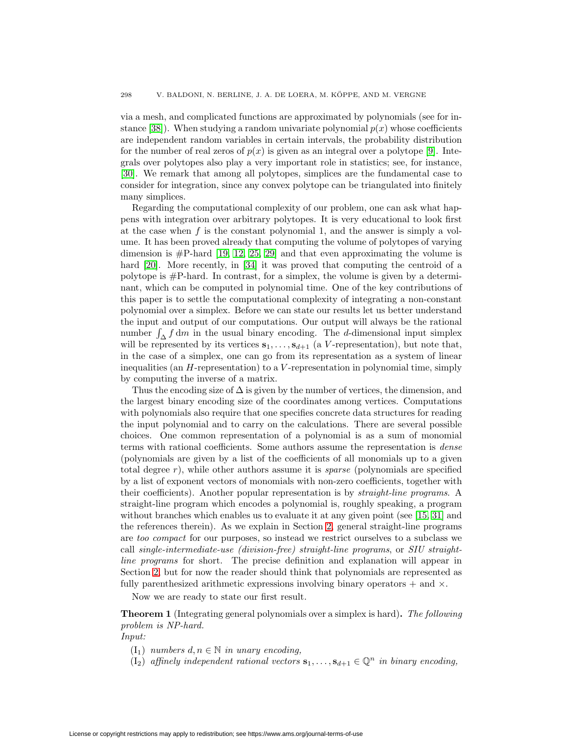via a mesh, and complicated functions are approximated by polynomials (see for in-stance [\[38\]](#page-27-2)). When studying a random univariate polynomial  $p(x)$  whose coefficients are independent random variables in certain intervals, the probability distribution for the number of real zeros of  $p(x)$  is given as an integral over a polytope [\[9\]](#page-26-0). Integrals over polytopes also play a very important role in statistics; see, for instance, [\[30\]](#page-27-3). We remark that among all polytopes, simplices are the fundamental case to consider for integration, since any convex polytope can be triangulated into finitely many simplices.

Regarding the computational complexity of our problem, one can ask what happens with integration over arbitrary polytopes. It is very educational to look first at the case when  $f$  is the constant polynomial 1, and the answer is simply a volume. It has been proved already that computing the volume of polytopes of varying dimension is  $\#P$ -hard [\[19,](#page-27-4) [12,](#page-26-1) [25,](#page-27-5) [29\]](#page-27-6) and that even approximating the volume is hard [\[20\]](#page-27-7). More recently, in [\[34\]](#page-27-8) it was proved that computing the centroid of a polytope is #P-hard. In contrast, for a simplex, the volume is given by a determinant, which can be computed in polynomial time. One of the key contributions of this paper is to settle the computational complexity of integrating a non-constant polynomial over a simplex. Before we can state our results let us better understand the input and output of our computations. Our output will always be the rational number  $\int_{\Delta} f dm$  in the usual binary encoding. The d-dimensional input simplex will be represented by its vertices  $\mathbf{s}_1,\ldots,\mathbf{s}_{d+1}$  (a V-representation), but note that, in the case of a simplex, one can go from its representation as a system of linear inequalities (an H-representation) to a V -representation in polynomial time, simply by computing the inverse of a matrix.

Thus the encoding size of  $\Delta$  is given by the number of vertices, the dimension, and the largest binary encoding size of the coordinates among vertices. Computations with polynomials also require that one specifies concrete data structures for reading the input polynomial and to carry on the calculations. There are several possible choices. One common representation of a polynomial is as a sum of monomial terms with rational coefficients. Some authors assume the representation is dense (polynomials are given by a list of the coefficients of all monomials up to a given total degree r), while other authors assume it is *sparse* (polynomials are specified by a list of exponent vectors of monomials with non-zero coefficients, together with their coefficients). Another popular representation is by straight-line programs. A straight-line program which encodes a polynomial is, roughly speaking, a program without branches which enables us to evaluate it at any given point (see [\[15,](#page-27-9) [31\]](#page-27-10) and the references therein). As we explain in Section [2,](#page-3-1) general straight-line programs are too compact for our purposes, so instead we restrict ourselves to a subclass we call single-intermediate-use (division-free) straight-line programs, or SIU straightline programs for short. The precise definition and explanation will appear in Section [2,](#page-3-1) but for now the reader should think that polynomials are represented as fully parenthesized arithmetic expressions involving binary operators  $+$  and  $\times$ .

Now we are ready to state our first result.

<span id="page-1-0"></span>**Theorem 1** (Integrating general polynomials over a simplex is hard)**.** The following problem is NP-hard.

Input:

- $(I_1)$  numbers  $d, n \in \mathbb{N}$  in unary encoding,
- (I<sub>2</sub>) affinely independent rational vectors  $\mathbf{s}_1,\ldots,\mathbf{s}_{d+1}\in\mathbb{Q}^n$  in binary encoding,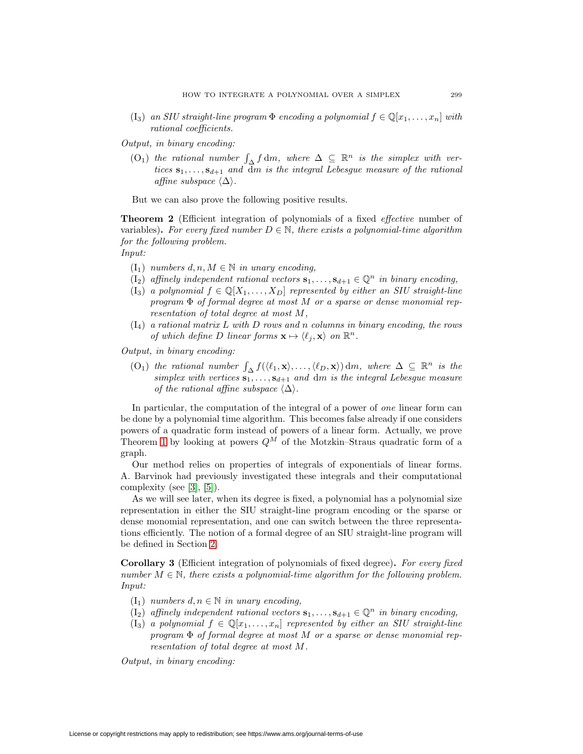(I<sub>3</sub>) an SIU straight-line program  $\Phi$  encoding a polynomial  $f \in \mathbb{Q}[x_1,\ldots,x_n]$  with rational coefficients.

Output, in binary encoding:

(O<sub>1</sub>) the rational number  $\int_{\Delta} f dm$ , where  $\Delta \subseteq \mathbb{R}^n$  is the simplex with vertices  $\mathbf{s}_1,\ldots,\mathbf{s}_{d+1}$  and dm is the integral Lebesgue measure of the rational affine subspace  $\langle \Delta \rangle$ .

But we can also prove the following positive results.

<span id="page-2-1"></span>**Theorem 2** (Efficient integration of polynomials of a fixed *effective* number of variables). For every fixed number  $D \in \mathbb{N}$ , there exists a polynomial-time algorithm for the following problem.

- Input:
	- $(I_1)$  numbers  $d, n, M \in \mathbb{N}$  in unary encoding,
	- (I<sub>2</sub>) affinely independent rational vectors  $\mathbf{s}_1,\ldots,\mathbf{s}_{d+1}\in\mathbb{Q}^n$  in binary encoding,
	- $(I_3)$  a polynomial  $f \in \mathbb{Q}[X_1,\ldots,X_D]$  represented by either an SIU straight-line program  $\Phi$  of formal degree at most M or a sparse or dense monomial representation of total degree at most M,
	- $(I_4)$  a rational matrix L with D rows and n columns in binary encoding, the rows of which define D linear forms  $\mathbf{x} \mapsto \langle \ell_j, \mathbf{x} \rangle$  on  $\mathbb{R}^n$ .

Output, in binary encoding:

 $(0, \infty)$  the rational number  $\int_{\Delta} f(\langle \ell_1, \mathbf{x} \rangle, \ldots, \langle \ell_D, \mathbf{x} \rangle) dm$ , where  $\Delta \subseteq \mathbb{R}^n$  is the simplex with vertices  $s_1, \ldots, s_{d+1}$  and dm is the integral Lebesgue measure of the rational affine subspace  $\langle \Delta \rangle$ .

In particular, the computation of the integral of a power of *one* linear form can be done by a polynomial time algorithm. This becomes false already if one considers powers of a quadratic form instead of powers of a linear form. Actually, we prove Theorem [1](#page-1-0) by looking at powers  $Q^M$  of the Motzkin–Straus quadratic form of a graph.

Our method relies on properties of integrals of exponentials of linear forms. A. Barvinok had previously investigated these integrals and their computational complexity (see [\[3\]](#page-26-2), [\[5\]](#page-26-3)).

As we will see later, when its degree is fixed, a polynomial has a polynomial size representation in either the SIU straight-line program encoding or the sparse or dense monomial representation, and one can switch between the three representations efficiently. The notion of a formal degree of an SIU straight-line program will be defined in Section [2.](#page-3-1)

<span id="page-2-0"></span>**Corollary 3** (Efficient integration of polynomials of fixed degree)**.** For every fixed number  $M \in \mathbb{N}$ , there exists a polynomial-time algorithm for the following problem. Input:

- $(I_1)$  numbers  $d, n \in \mathbb{N}$  in unary encoding,
- $(I_2)$  affinely independent rational vectors  $\mathbf{s}_1,\ldots,\mathbf{s}_{d+1} \in \mathbb{Q}^n$  in binary encoding,
- $(I_3)$  a polynomial  $f \in \mathbb{Q}[x_1,\ldots,x_n]$  represented by either an SIU straight-line program  $\Phi$  of formal degree at most M or a sparse or dense monomial representation of total degree at most M.

Output, in binary encoding: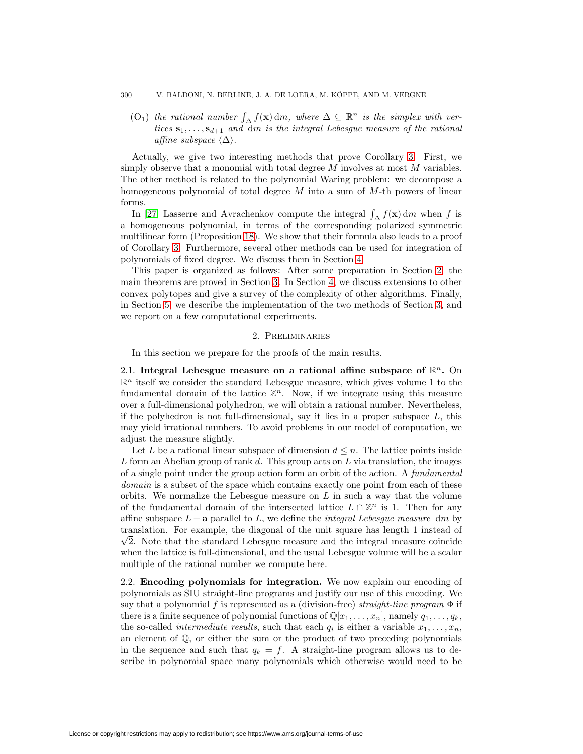#### 300 V. BALDONI, N. BERLINE, J. A. DE LOERA, M. KOPPE, AND M. VERGNE ¨

 $(0_1)$  the rational number  $\int_{\Delta} f(\mathbf{x}) dm$ , where  $\Delta \subseteq \mathbb{R}^n$  is the simplex with vertices  $\mathbf{s}_1,\ldots,\mathbf{s}_{d+1}$  and dm is the integral Lebesgue measure of the rational affine subspace  $\langle \Delta \rangle$ .

Actually, we give two interesting methods that prove Corollary [3.](#page-2-0) First, we simply observe that a monomial with total degree  $M$  involves at most  $M$  variables. The other method is related to the polynomial Waring problem: we decompose a homogeneous polynomial of total degree  $M$  into a sum of  $M$ -th powers of linear forms.

In [\[27\]](#page-27-11) Lasserre and Avrachenkov compute the integral  $\int_{\Delta} f(\mathbf{x}) dm$  when f is a homogeneous polynomial, in terms of the corresponding polarized symmetric multilinear form (Proposition [18\)](#page-14-0). We show that their formula also leads to a proof of Corollary [3.](#page-2-0) Furthermore, several other methods can be used for integration of polynomials of fixed degree. We discuss them in Section [4.](#page-14-1)

This paper is organized as follows: After some preparation in Section [2,](#page-3-1) the main theorems are proved in Section [3.](#page-6-0) In Section [4,](#page-14-1) we discuss extensions to other convex polytopes and give a survey of the complexity of other algorithms. Finally, in Section [5,](#page-19-0) we describe the implementation of the two methods of Section [3,](#page-6-0) and we report on a few computational experiments.

#### 2. Preliminaries

In this section we prepare for the proofs of the main results.

<span id="page-3-1"></span><span id="page-3-0"></span>2.1. **Integral Lebesgue measure on a rational affine subspace of**  $\mathbb{R}^n$ **.** On  $\mathbb{R}^n$  itself we consider the standard Lebesgue measure, which gives volume 1 to the fundamental domain of the lattice  $\mathbb{Z}^n$ . Now, if we integrate using this measure over a full-dimensional polyhedron, we will obtain a rational number. Nevertheless, if the polyhedron is not full-dimensional, say it lies in a proper subspace  $L$ , this may yield irrational numbers. To avoid problems in our model of computation, we adjust the measure slightly.

Let L be a rational linear subspace of dimension  $d \leq n$ . The lattice points inside L form an Abelian group of rank d. This group acts on L via translation, the images of a single point under the group action form an orbit of the action. A fundamental domain is a subset of the space which contains exactly one point from each of these orbits. We normalize the Lebesgue measure on  $L$  in such a way that the volume of the fundamental domain of the intersected lattice  $L \cap \mathbb{Z}^n$  is 1. Then for any affine subspace  $L + a$  parallel to  $L$ , we define the *integral Lebesgue measure dm* by translation. For example, the diagonal of the unit square has length 1 instead of  $\sqrt{2}$ . Note that the standard Lebesgue measure and the integral measure coincide when the lattice is full-dimensional, and the usual Lebesgue volume will be a scalar multiple of the rational number we compute here.

2.2. **Encoding polynomials for integration.** We now explain our encoding of polynomials as SIU straight-line programs and justify our use of this encoding. We say that a polynomial f is represented as a (division-free) straight-line program  $\Phi$  if there is a finite sequence of polynomial functions of  $\mathbb{Q}[x_1,\ldots,x_n]$ , namely  $q_1,\ldots,q_k$ , the so-called *intermediate results*, such that each  $q_i$  is either a variable  $x_1, \ldots, x_n$ , an element of Q, or either the sum or the product of two preceding polynomials in the sequence and such that  $q_k = f$ . A straight-line program allows us to describe in polynomial space many polynomials which otherwise would need to be

License or copyright restrictions may apply to redistribution; see https://www.ams.org/journal-terms-of-use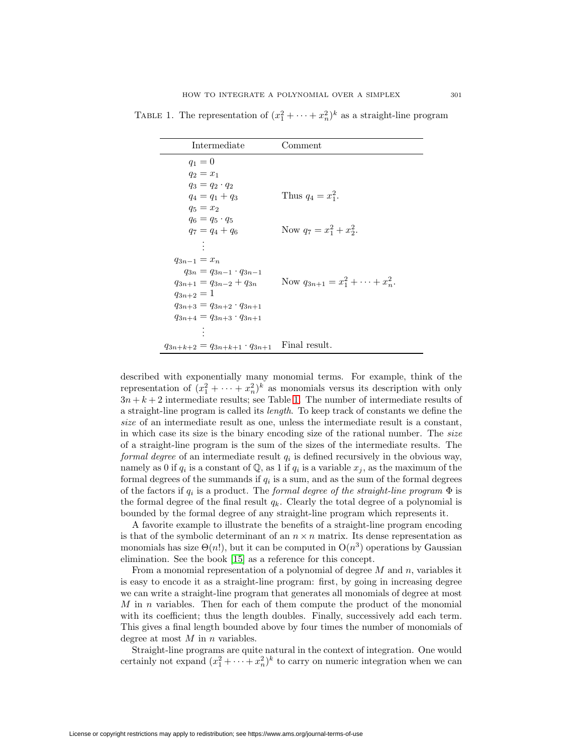| Intermediate                             | Comment                                   |
|------------------------------------------|-------------------------------------------|
| $q_1 = 0$                                |                                           |
| $q_2 = x_1$                              |                                           |
| $q_3 = q_2 \cdot q_2$                    |                                           |
| $q_4 = q_1 + q_3$                        | Thus $q_4 = x_1^2$ .                      |
| $q_5 = x_2$                              |                                           |
| $q_6 = q_5 \cdot q_5$                    |                                           |
| $q_7 = q_4 + q_6$                        | Now $q_7 = x_1^2 + x_2^2$ .               |
|                                          |                                           |
| $q_{3n-1} = x_n$                         |                                           |
| $q_{3n} = q_{3n-1} \cdot q_{3n-1}$       |                                           |
| $q_{3n+1} = q_{3n-2} + q_{3n}$           | Now $q_{3n+1} = x_1^2 + \cdots + x_n^2$ . |
| $q_{3n+2}=1$                             |                                           |
| $q_{3n+3} = q_{3n+2} \cdot q_{3n+1}$     |                                           |
| $q_{3n+4}=q_{3n+3}\cdot q_{3n+1}$        |                                           |
|                                          |                                           |
| $q_{3n+k+2} = q_{3n+k+1} \cdot q_{3n+1}$ | Final result.                             |

<span id="page-4-0"></span>TABLE 1. The representation of  $(x_1^2 + \cdots + x_n^2)^k$  as a straight-line program

described with exponentially many monomial terms. For example, think of the representation of  $(x_1^2 + \cdots + x_n^2)^k$  as monomials versus its description with only  $3n + k + 2$  intermediate results; see Table [1.](#page-4-0) The number of intermediate results of a straight-line program is called its length. To keep track of constants we define the size of an intermediate result as one, unless the intermediate result is a constant, in which case its size is the binary encoding size of the rational number. The size of a straight-line program is the sum of the sizes of the intermediate results. The formal degree of an intermediate result  $q_i$  is defined recursively in the obvious way, namely as 0 if  $q_i$  is a constant of  $\mathbb{Q}$ , as 1 if  $q_i$  is a variable  $x_j$ , as the maximum of the formal degrees of the summands if  $q_i$  is a sum, and as the sum of the formal degrees of the factors if  $q_i$  is a product. The formal degree of the straight-line program  $\Phi$  is the formal degree of the final result  $q_k$ . Clearly the total degree of a polynomial is bounded by the formal degree of any straight-line program which represents it.

A favorite example to illustrate the benefits of a straight-line program encoding is that of the symbolic determinant of an  $n \times n$  matrix. Its dense representation as monomials has size  $\Theta(n!)$ , but it can be computed in  $O(n^3)$  operations by Gaussian elimination. See the book [\[15\]](#page-27-9) as a reference for this concept.

From a monomial representation of a polynomial of degree  $M$  and  $n$ , variables it is easy to encode it as a straight-line program: first, by going in increasing degree we can write a straight-line program that generates all monomials of degree at most  $M$  in n variables. Then for each of them compute the product of the monomial with its coefficient; thus the length doubles. Finally, successively add each term. This gives a final length bounded above by four times the number of monomials of degree at most  $M$  in  $n$  variables.

Straight-line programs are quite natural in the context of integration. One would certainly not expand  $(x_1^2 + \cdots + x_n^2)^k$  to carry on numeric integration when we can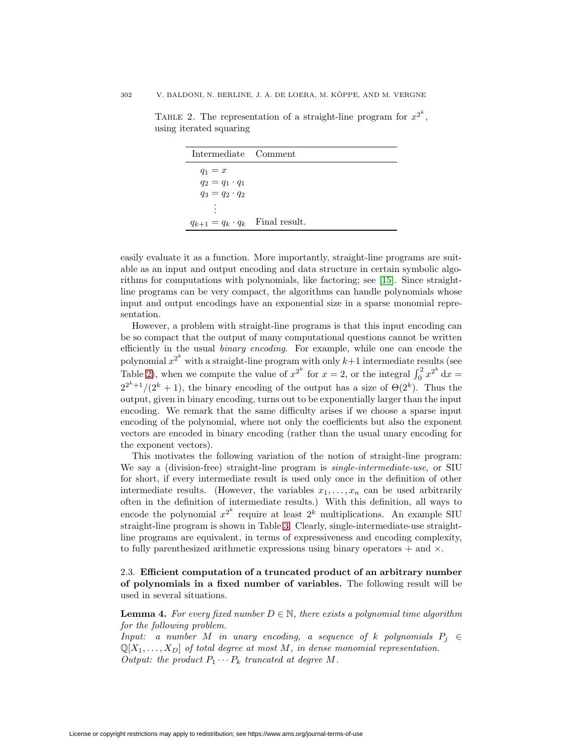#### 302 V. BALDONI, N. BERLINE, J. A. DE LOERA, M. KOPPE, AND M. VERGNE ¨

| Intermediate Comment      |               |
|---------------------------|---------------|
| $q_1=x$                   |               |
| $q_2 = q_1 \cdot q_1$     |               |
| $q_3 = q_2 \cdot q_2$     |               |
| ٠                         |               |
| $q_{k+1} = q_k \cdot q_k$ | Final result. |

<span id="page-5-0"></span>TABLE 2. The representation of a straight-line program for  $x^{2^k}$ , using iterated squaring

easily evaluate it as a function. More importantly, straight-line programs are suitable as an input and output encoding and data structure in certain symbolic algorithms for computations with polynomials, like factoring; see [\[15\]](#page-27-9). Since straightline programs can be very compact, the algorithms can handle polynomials whose input and output encodings have an exponential size in a sparse monomial representation.

However, a problem with straight-line programs is that this input encoding can be so compact that the output of many computational questions cannot be written efficiently in the usual binary encoding. For example, while one can encode the polynomial  $x^{2^k}$  with a straight-line program with only  $k+1$  intermediate results (see Table [2\)](#page-5-0), when we compute the value of  $x^{2^k}$  for  $x = 2$ , or the integral  $\int_0^2 x^{2^k} dx =$  $2^{2^k+1}/(2^k+1)$ , the binary encoding of the output has a size of  $\Theta(2^k)$ . Thus the output, given in binary encoding, turns out to be exponentially larger than the input encoding. We remark that the same difficulty arises if we choose a sparse input encoding of the polynomial, where not only the coefficients but also the exponent vectors are encoded in binary encoding (rather than the usual unary encoding for the exponent vectors).

This motivates the following variation of the notion of straight-line program: We say a (division-free) straight-line program is *single-intermediate-use*, or SIU for short, if every intermediate result is used only once in the definition of other intermediate results. (However, the variables  $x_1, \ldots, x_n$  can be used arbitrarily often in the definition of intermediate results.) With this definition, all ways to encode the polynomial  $x^{2^k}$  require at least  $2^k$  multiplications. An example SIU straight-line program is shown in Table [3.](#page-6-1) Clearly, single-intermediate-use straightline programs are equivalent, in terms of expressiveness and encoding complexity, to fully parenthesized arithmetic expressions using binary operators  $+$  and  $\times$ .

2.3. **Efficient computation of a truncated product of an arbitrary number of polynomials in a fixed number of variables.** The following result will be used in several situations.

<span id="page-5-1"></span>**Lemma 4.** For every fixed number  $D \in \mathbb{N}$ , there exists a polynomial time algorithm for the following problem.

Input: a number M in unary encoding, a sequence of k polynomials  $P_i \in$  $\mathbb{Q}[X_1,\ldots,X_D]$  of total degree at most M, in dense monomial representation. Output: the product  $P_1 \cdots P_k$  truncated at degree M.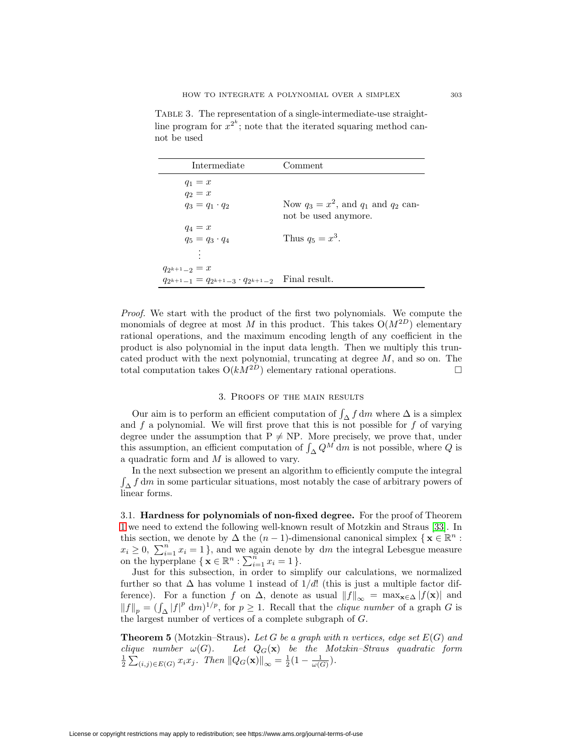| Intermediate                               | Comment                                    |
|--------------------------------------------|--------------------------------------------|
| $q_1 = x$                                  |                                            |
| $q_2 = x$                                  |                                            |
| $q_3 = q_1 \cdot q_2$                      | Now $q_3 = x^2$ , and $q_1$ and $q_2$ can- |
|                                            | not be used anymore.                       |
| $q_4=x$                                    |                                            |
| $q_5 = q_3 \cdot q_4$                      | Thus $q_5 = x^3$ .                         |
|                                            |                                            |
|                                            |                                            |
| $q_{2^{k+1}-2} = x$                        |                                            |
| $q_{2k+1-1} = q_{2k+1-3} \cdot q_{2k+1-2}$ | Final result.                              |

<span id="page-6-1"></span>TABLE 3. The representation of a single-intermediate-use straightline program for  $x^{2^k}$ ; note that the iterated squaring method cannot be used

Proof. We start with the product of the first two polynomials. We compute the monomials of degree at most M in this product. This takes  $O(M^{2D})$  elementary rational operations, and the maximum encoding length of any coefficient in the product is also polynomial in the input data length. Then we multiply this truncated product with the next polynomial, truncating at degree  $M$ , and so on. The total computation takes  $O(kM^{2D})$  elementary rational operations.

### 3. Proofs of the main results

<span id="page-6-0"></span>Our aim is to perform an efficient computation of  $\int_{\Delta} f dm$  where  $\Delta$  is a simplex and  $f$  a polynomial. We will first prove that this is not possible for  $f$  of varying degree under the assumption that  $P \neq NP$ . More precisely, we prove that, under this assumption, an efficient computation of  $\int_{\Delta} Q^M dm$  is not possible, where Q is a quadratic form and M is allowed to vary.

In the next subsection we present an algorithm to efficiently compute the integral  $\int_{\Delta} f dm$  in some particular situations, most notably the case of arbitrary powers of linear forms.

3.1. **Hardness for polynomials of non-fixed degree.** For the proof of Theorem [1](#page-1-0) we need to extend the following well-known result of Motzkin and Straus [\[33\]](#page-27-12). In this section, we denote by  $\Delta$  the  $(n-1)$ -dimensional canonical simplex  $\{ \mathbf{x} \in \mathbb{R}^n :$  $x_i \geq 0$ ,  $\sum_{i=1}^n x_i = 1$ , and we again denote by dm the integral Lebesgue measure on the hyperplane  $\{ \mathbf{x} \in \mathbb{R}^n : \sum_{i=1}^n x_i = 1 \}.$ 

Just for this subsection, in order to simplify our calculations, we normalized further so that  $\Delta$  has volume 1 instead of 1/d! (this is just a multiple factor difference). For a function f on  $\Delta$ , denote as usual  $||f||_{\infty} = \max_{\mathbf{x} \in \Delta} |f(\mathbf{x})|$  and  $||f||_p = (\int_{\Delta} |f|^p dm)^{1/p}$ , for  $p \ge 1$ . Recall that the *clique number* of a graph G is the largest number of vertices of a complete subgraph of G.

<span id="page-6-2"></span>**Theorem 5** (Motzkin–Straus). Let G be a graph with n vertices, edge set  $E(G)$  and clique number  $\omega(G)$ . Let  $Q_G(\mathbf{x})$  be the Motzkin–Straus quadratic form Let  $Q_G(\mathbf{x})$  be the Motzkin–Straus quadratic form  $\frac{1}{2} \sum_{(i,j) \in E(G)} x_i x_j$ . Then  $||Q_G(\mathbf{x})||_{\infty} = \frac{1}{2} (1 - \frac{1}{\omega(G)})$ .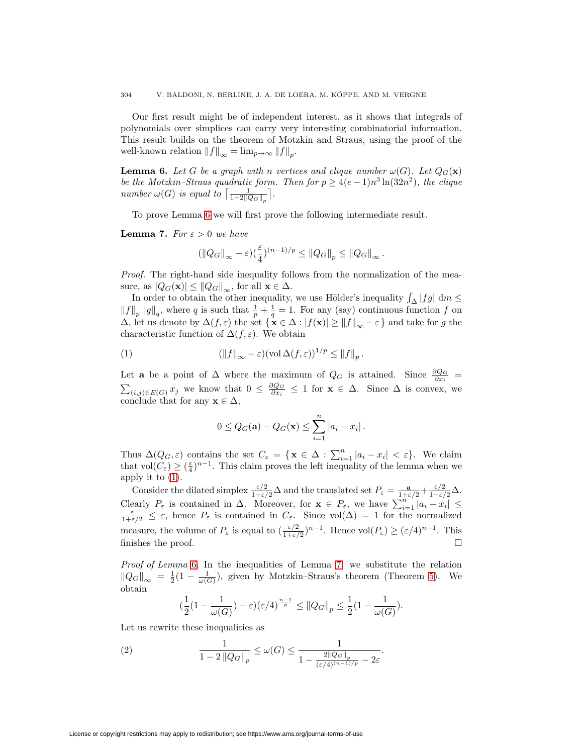Our first result might be of independent interest, as it shows that integrals of polynomials over simplices can carry very interesting combinatorial information. This result builds on the theorem of Motzkin and Straus, using the proof of the well-known relation  $||f||_{\infty} = \lim_{p \to \infty} ||f||_{p}$ .

<span id="page-7-0"></span>**Lemma 6.** Let G be a graph with n vertices and clique number  $\omega(G)$ . Let  $Q_G(\mathbf{x})$ be the Motzkin–Straus quadratic form. Then for  $p \ge 4(e-1)n^3 \ln(32n^2)$ , the clique number  $\omega(G)$  is equal to  $\lceil \frac{1}{1-2\|Q_G\|_p} \rceil$ .

To prove Lemma [6](#page-7-0) we will first prove the following intermediate result.

<span id="page-7-2"></span>**Lemma 7.** For  $\varepsilon > 0$  we have

$$
(\|Q_G\|_{\infty}-\varepsilon)(\frac{\varepsilon}{4})^{(n-1)/p}\leq \|Q_G\|_p\leq \|Q_G\|_{\infty}.
$$

Proof. The right-hand side inequality follows from the normalization of the measure, as  $|Q_G(\mathbf{x})| \leq ||Q_G||_{\infty}$ , for all  $\mathbf{x} \in \Delta$ .

In order to obtain the other inequality, we use Hölder's inequality  $\int_{\Delta} |fg| \, dm \le$  $||f||_p ||g||_q$ , where q is such that  $\frac{1}{p} + \frac{1}{q} = 1$ . For any (say) continuous function f on  $\Delta$ , let us denote by  $\Delta(f, \varepsilon)$  the set  $\{\mathbf{x} \in \Delta : |f(\mathbf{x})| \ge ||f||_{\infty} - \varepsilon\}$  and take for g the characteristic function of  $\Delta(f,\varepsilon)$ . We obtain

(1) 
$$
(\|f\|_{\infty}-\varepsilon)(\text{vol}\,\Delta(f,\varepsilon))^{1/p}\leq \|f\|_{p}.
$$

Let **a** be a point of  $\Delta$  where the maximum of  $Q_G$  is attained. Since  $\frac{\partial Q_G}{\partial x_i}$  =  $\sum_{(i,j)\in E(G)} x_j$  we know that  $0 \leq \frac{\partial Q_G}{\partial x_i} \leq 1$  for  $\mathbf{x} \in \Delta$ . Since  $\Delta$  is convex, we conclude that for any  $\mathbf{x} \in \Delta$ ,

<span id="page-7-1"></span>
$$
0 \leq Q_G(\mathbf{a}) - Q_G(\mathbf{x}) \leq \sum_{i=1}^n |a_i - x_i|.
$$

Thus  $\Delta(Q_G, \varepsilon)$  contains the set  $C_{\varepsilon} = {\mathbf{x} \in \Delta : \sum_{i=1}^n |a_i - x_i| < \varepsilon}.$  We claim that vol $(C_{\varepsilon}) \geq (\frac{\varepsilon}{4})^{n-1}$ . This claim proves the left inequality of the lemma when we apply it to  $(1)$ .

Consider the dilated simplex  $\frac{\varepsilon/2}{1+\varepsilon/2}\Delta$  and the translated set  $P_{\varepsilon} = \frac{\mathbf{a}}{1+\varepsilon/2} + \frac{\varepsilon/2}{1+\varepsilon/2}\Delta$ . Clearly  $P_{\varepsilon}$  is contained in  $\Delta$ . Moreover, for  $\mathbf{x} \in P_{\varepsilon}$ , we have  $\sum_{i=1}^{n} |a_i - x_i| \leq \frac{\varepsilon}{1+\varepsilon/2} \leq \varepsilon$ , hence  $P_{\varepsilon}$  is contained in  $C_{\varepsilon}$ . Since vol $(\Delta) = 1$  for the normalized measure, the volume of  $P_{\varepsilon}$  is equal to  $\left(\frac{\varepsilon/2}{1+\varepsilon/2}\right)^{n-1}$ . Hence vol $(P_{\varepsilon}) \geq (\varepsilon/4)^{n-1}$ . This finishes the proof.  $\Box$ 

Proof of Lemma [6](#page-7-0). In the inequalities of Lemma [7,](#page-7-2) we substitute the relation  $||Q_G||_{\infty} = \frac{1}{2}(1 - \frac{1}{\omega(G)})$ , given by Motzkin–Straus's theorem (Theorem [5\)](#page-6-2). We obtain

$$
(\frac{1}{2}(1-\frac{1}{\omega(G)})-\varepsilon)(\varepsilon/4)^{\frac{n-1}{p}} \leq ||Q_G||_p \leq \frac{1}{2}(1-\frac{1}{\omega(G)}).
$$

Let us rewrite these inequalities as

$$
(2) \qquad \qquad \frac{1}{1-2\left\|Q_G\right\|_p} \le \omega(G) \le \frac{1}{1-\frac{2\left\|Q_G\right\|_p}{\left(\varepsilon/4\right)^{(n-1)/p}}-2\varepsilon}.
$$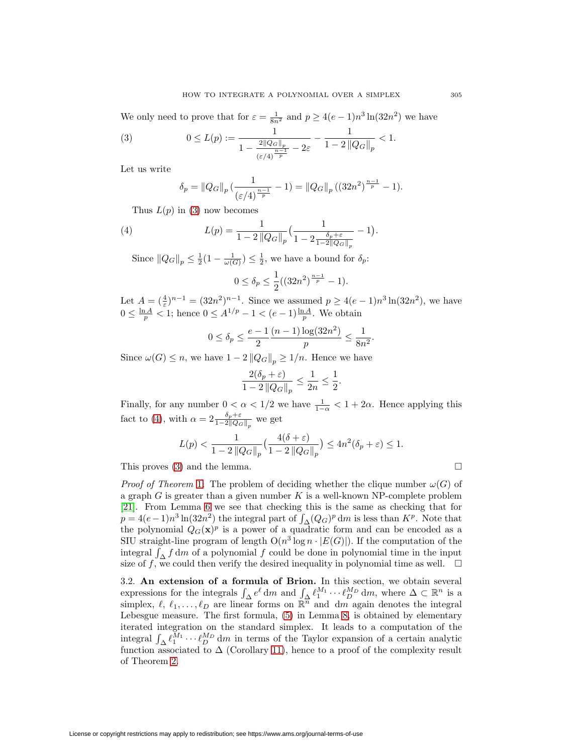We only need to prove that for  $\varepsilon = \frac{1}{8n^2}$  and  $p \ge 4(e-1)n^3 \ln(32n^2)$  we have

(3) 
$$
0 \le L(p) := \frac{1}{1 - \frac{2||Q_G||_p}{(\varepsilon/4)^{\frac{n-1}{p}}} - 2\varepsilon} - \frac{1}{1 - 2||Q_G||_p} < 1.
$$

Let us write

<span id="page-8-1"></span><span id="page-8-0"></span>
$$
\delta_p = \|Q_G\|_p \left(\frac{1}{(\varepsilon/4)^{\frac{n-1}{p}}}-1\right) = \|Q_G\|_p \left(\left(32n^2\right)^{\frac{n-1}{p}}-1\right).
$$

Thus  $L(p)$  in [\(3\)](#page-8-0) now becomes

(4) 
$$
L(p) = \frac{1}{1 - 2 \|Q_G\|_p} \left( \frac{1}{1 - 2 \frac{\delta_p + \varepsilon}{1 - 2 \|Q_G\|_p}} - 1 \right).
$$

Since  $||Q_G||_p \leq \frac{1}{2}(1 - \frac{1}{\omega(G)}) \leq \frac{1}{2}$ , we have a bound for  $\delta_p$ :

$$
0 \le \delta_p \le \frac{1}{2} ((32n^2)^{\frac{n-1}{p}} - 1).
$$

Let  $A = (\frac{4}{\varepsilon})^{n-1} = (32n^2)^{n-1}$ . Since we assumed  $p \ge 4(e-1)n^3 \ln(32n^2)$ , we have  $0 \leq \frac{\ln A}{p} < 1$ ; hence  $0 \leq A^{1/p} - 1 < (e - 1) \frac{\ln A}{p}$ . We obtain

$$
0 \le \delta_p \le \frac{e-1}{2} \frac{(n-1)\log(32n^2)}{p} \le \frac{1}{8n^2}.
$$

Since  $\omega(G) \leq n$ , we have  $1 - 2 ||Q_G||_p \geq 1/n$ . Hence we have

$$
\frac{2(\delta_p+\varepsilon)}{1-2\left\|Q_G\right\|_p}\leq \frac{1}{2n}\leq \frac{1}{2}.
$$

Finally, for any number  $0 < \alpha < 1/2$  we have  $\frac{1}{1-\alpha} < 1+2\alpha$ . Hence applying this fact to [\(4\)](#page-8-1), with  $\alpha = 2 \frac{\delta_p + \varepsilon}{1 - 2||Q_G||_p}$  we get

$$
L(p) < \frac{1}{1-2\left\|Q_G\right\|_p} \left(\frac{4(\delta+\varepsilon)}{1-2\left\|Q_G\right\|_p}\right) \le 4n^2(\delta_p+\varepsilon) \le 1.
$$

This proves  $(3)$  and the lemma.

*Proof of Theorem* [1](#page-1-0). The problem of deciding whether the clique number  $\omega(G)$  of a graph  $G$  is greater than a given number  $K$  is a well-known NP-complete problem [\[21\]](#page-27-13). From Lemma [6](#page-7-0) we see that checking this is the same as checking that for  $p = 4(e-1)n^3 \ln(32n^2)$  the integral part of  $\int_{\Delta} (Q_G)^p dm$  is less than  $K^p$ . Note that the polynomial  $Q_G(\mathbf{x})^p$  is a power of a quadratic form and can be encoded as a SIU straight-line program of length  $O(n^3 \log n \cdot |E(G)|)$ . If the computation of the integral  $\int_{\Delta} f \, dm$  of a polynomial  $f$  could be done in polynomial time in the input size of f, we could then verify the desired inequality in polynomial time as well.  $\Box$ 

3.2. **An extension of a formula of Brion.** In this section, we obtain several expressions for the integrals  $\int_{\Delta} e^{\ell} dm$  and  $\int_{\Delta} \ell_1^{M_1} \cdots \ell_D^{M_D} dm$ , where  $\Delta \subset \mathbb{R}^n$  is a simplex,  $\ell, \ell_1, \ldots, \ell_D$  are linear forms on  $\mathbb{R}^n$  and dm again denotes the integral Lebesgue measure. The first formula, [\(5\)](#page-9-0) in Lemma [8,](#page-9-1) is obtained by elementary iterated integration on the standard simplex. It leads to a computation of the integral  $\int_{\Delta} \ell_1^{M_1} \cdots \ell_p^{M_p} dm$  in terms of the Taylor expansion of a certain analytic function associated to  $\Delta$  (Corollary [11\)](#page-10-0), hence to a proof of the complexity result of Theorem [2.](#page-2-1)

 $\Box$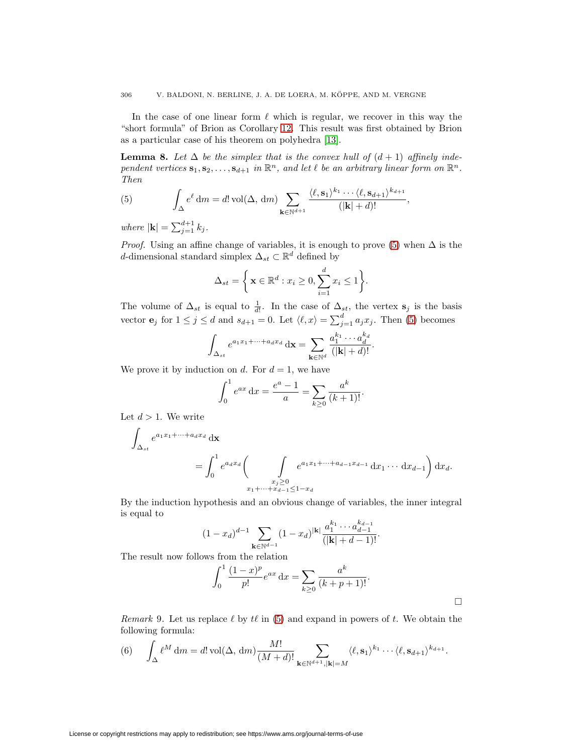In the case of one linear form  $\ell$  which is regular, we recover in this way the "short formula" of Brion as Corollary [12.](#page-10-1) This result was first obtained by Brion as a particular case of his theorem on polyhedra [\[13\]](#page-26-4).

<span id="page-9-1"></span>**Lemma 8.** Let  $\Delta$  be the simplex that is the convex hull of  $(d + 1)$  affinely independent vertices  $\mathbf{s}_1, \mathbf{s}_2, \ldots, \mathbf{s}_{d+1}$  in  $\mathbb{R}^n$ , and let  $\ell$  be an arbitrary linear form on  $\mathbb{R}^n$ . Then

<span id="page-9-0"></span>(5) 
$$
\int_{\Delta} e^{\ell} dm = d! \operatorname{vol}(\Delta, dm) \sum_{\mathbf{k} \in \mathbb{N}^{d+1}} \frac{\langle \ell, \mathbf{s}_1 \rangle^{k_1} \cdots \langle \ell, \mathbf{s}_{d+1} \rangle^{k_{d+1}}}{(|\mathbf{k}| + d)!},
$$

where  $|\mathbf{k}| = \sum_{j=1}^{d+1} k_j$ .

*Proof.* Using an affine change of variables, it is enough to prove [\(5\)](#page-9-0) when  $\Delta$  is the d-dimensional standard simplex  $\Delta_{st} \subset \mathbb{R}^d$  defined by

$$
\Delta_{st} = \left\{ \mathbf{x} \in \mathbb{R}^d : x_i \ge 0, \sum_{i=1}^d x_i \le 1 \right\}.
$$

The volume of  $\Delta_{st}$  is equal to  $\frac{1}{d!}$ . In the case of  $\Delta_{st}$ , the vertex  $s_j$  is the basis vector **e**<sub>j</sub> for  $1 \leq j \leq d$  and  $s_{d+1} = 0$ . Let  $\langle \ell, x \rangle = \sum_{j=1}^{d} a_j x_j$ . Then [\(5\)](#page-9-0) becomes

$$
\int_{\Delta_{st}} e^{a_1x_1+\cdots+a_dx_d} \, \mathrm{d} \mathbf{x} = \sum_{\mathbf{k}\in\mathbb{N}^d} \frac{a_1^{k_1}\cdots a_d^{k_d}}{(|\mathbf{k}|+d)!}.
$$

We prove it by induction on d. For  $d = 1$ , we have

$$
\int_0^1 e^{ax} dx = \frac{e^a - 1}{a} = \sum_{k \ge 0} \frac{a^k}{(k+1)!}.
$$

Let  $d > 1$ . We write

$$
\int_{\Delta_{st}} e^{a_1 x_1 + \dots + a_d x_d} \, \mathrm{d} \mathbf{x} = \int_0^1 e^{a_d x_d} \left( \int_{\substack{x_j \ge 0 \\ x_1 + \dots + x_{d-1} \le 1 - x_d}} e^{a_1 x_1 + \dots + a_{d-1} x_{d-1}} \, \mathrm{d} x_1 \dots \, \mathrm{d} x_{d-1} \right) \mathrm{d} x_d.
$$

By the induction hypothesis and an obvious change of variables, the inner integral is equal to

$$
(1-x_d)^{d-1}\sum_{\mathbf{k}\in\mathbb{N}^{d-1}}(1-x_d)^{|\mathbf{k}|}\frac{a_1^{k_1}\cdots a_{d-1}^{k_{d-1}}}{(|\mathbf{k}|+d-1)!}.
$$

The result now follows from the relation

$$
\int_0^1 \frac{(1-x)^p}{p!} e^{ax} dx = \sum_{k \ge 0} \frac{a^k}{(k+p+1)!}.
$$

<span id="page-9-3"></span><span id="page-9-2"></span>Remark 9. Let us replace  $\ell$  by  $t\ell$  in [\(5\)](#page-9-0) and expand in powers of t. We obtain the following formula:

(6) 
$$
\int_{\Delta} \ell^M dm = d! \operatorname{vol}(\Delta, dm) \frac{M!}{(M+d)!} \sum_{\mathbf{k} \in \mathbb{N}^{d+1}, |\mathbf{k}| = M} \langle \ell, \mathbf{s}_1 \rangle^{k_1} \cdots \langle \ell, \mathbf{s}_{d+1} \rangle^{k_{d+1}}.
$$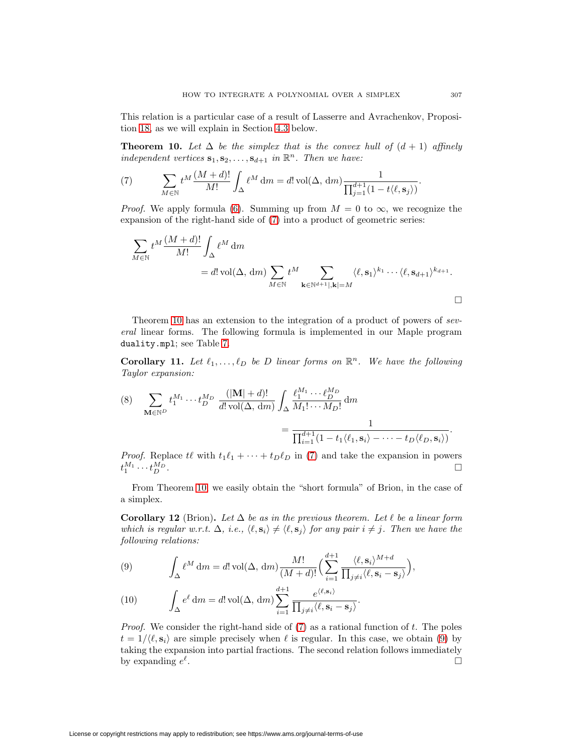This relation is a particular case of a result of Lasserre and Avrachenkov, Proposition [18,](#page-14-0) as we will explain in Section [4.3](#page-16-0) below.

<span id="page-10-3"></span><span id="page-10-2"></span>**Theorem 10.** Let  $\Delta$  be the simplex that is the convex hull of  $(d + 1)$  affinely independent vertices  $\mathbf{s}_1, \mathbf{s}_2, \ldots, \mathbf{s}_{d+1}$  in  $\mathbb{R}^n$ . Then we have:

(7) 
$$
\sum_{M \in \mathbb{N}} t^M \frac{(M+d)!}{M!} \int_{\Delta} \ell^M dm = d! \operatorname{vol}(\Delta, dm) \frac{1}{\prod_{j=1}^{d+1} (1 - t(\ell, \mathbf{s}_j))}.
$$

*Proof.* We apply formula [\(6\)](#page-9-2). Summing up from  $M = 0$  to  $\infty$ , we recognize the expansion of the right-hand side of [\(7\)](#page-10-2) into a product of geometric series:

$$
\sum_{M \in \mathbb{N}} t^M \frac{(M+d)!}{M!} \int_{\Delta} \ell^M dm
$$
  
=  $d! \operatorname{vol}(\Delta, dm) \sum_{M \in \mathbb{N}} t^M \sum_{\mathbf{k} \in \mathbb{N}^{d+1} |, \mathbf{k} | = M} \langle \ell, \mathbf{s}_1 \rangle^{k_1} \cdots \langle \ell, \mathbf{s}_{d+1} \rangle^{k_{d+1}}.$ 

Theorem [10](#page-10-3) has an extension to the integration of a product of powers of several linear forms. The following formula is implemented in our Maple program duality.mpl; see Table [7.](#page-22-0)

<span id="page-10-0"></span>**Corollary 11.** Let  $\ell_1, \ldots, \ell_D$  be D linear forms on  $\mathbb{R}^n$ . We have the following Taylor expansion:

(8) 
$$
\sum_{\mathbf{M}\in\mathbb{N}^D} t_1^{M_1} \cdots t_D^{M_D} \frac{(|\mathbf{M}| + d)!}{d! \operatorname{vol}(\Delta, dm)} \int_{\Delta} \frac{\ell_1^{M_1} \cdots \ell_D^{M_D}}{M_1! \cdots M_D!} dm = \frac{1}{\prod_{i=1}^{d+1} (1 - t_1 \langle \ell_1, \mathbf{s}_i \rangle - \cdots - t_D \langle \ell_D, \mathbf{s}_i \rangle)}.
$$

*Proof.* Replace  $t\ell$  with  $t_1\ell_1 + \cdots + t_D\ell_D$  in [\(7\)](#page-10-2) and take the expansion in powers  $t_1^{M_1} \cdots t_D^{M_D}$ .

<span id="page-10-1"></span>From Theorem [10,](#page-10-3) we easily obtain the "short formula" of Brion, in the case of a simplex.

**Corollary 12** (Brion). Let  $\Delta$  be as in the previous theorem. Let  $\ell$  be a linear form which is regular w.r.t.  $\Delta$ , i.e.,  $\langle \ell, s_i \rangle \neq \langle \ell, s_j \rangle$  for any pair  $i \neq j$ . Then we have the following relations:

<span id="page-10-4"></span>(9) 
$$
\int_{\Delta} \ell^{M} dm = d! \operatorname{vol}(\Delta, dm) \frac{M!}{(M+d)!} \left( \sum_{i=1}^{d+1} \frac{\langle \ell, \mathbf{s}_{i} \rangle^{M+d}}{\prod_{j \neq i} \langle \ell, \mathbf{s}_{i} - \mathbf{s}_{j} \rangle} \right),
$$

(10) 
$$
\int_{\Delta} e^{\ell} dm = d! \operatorname{vol}(\Delta, dm) \sum_{i=1}^{d+1} \frac{e^{\langle \ell, \mathbf{s}_i \rangle}}{\prod_{j \neq i} \langle \ell, \mathbf{s}_i - \mathbf{s}_j \rangle}.
$$

*Proof.* We consider the right-hand side of  $(7)$  as a rational function of t. The poles  $t = 1/\langle \ell, \mathbf{s}_i \rangle$  are simple precisely when  $\ell$  is regular. In this case, we obtain [\(9\)](#page-10-4) by taking the expansion into partial fractions. The second relation follows immediately by expanding  $e^{\ell}$ .  $\Box$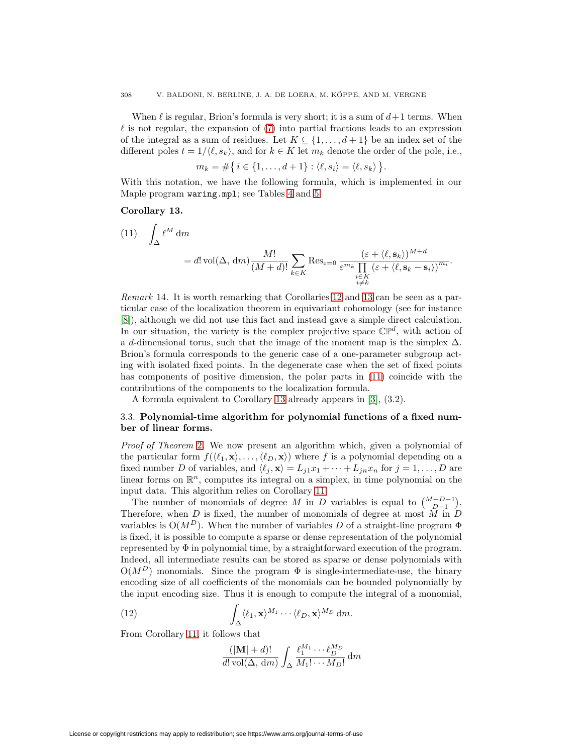When  $\ell$  is regular, Brion's formula is very short; it is a sum of  $d+1$  terms. When  $\ell$  is not regular, the expansion of  $(7)$  into partial fractions leads to an expression of the integral as a sum of residues. Let  $K \subseteq \{1, \ldots, d+1\}$  be an index set of the different poles  $t = 1/\langle \ell, s_k \rangle$ , and for  $k \in K$  let  $m_k$  denote the order of the pole, i.e.,

$$
m_k = \#\{i \in \{1,\ldots,d+1\} : \langle \ell, s_i \rangle = \langle \ell, s_k \rangle\}.
$$

<span id="page-11-0"></span>With this notation, we have the following formula, which is implemented in our Maple program waring.mpl; see Tables [4](#page-19-1) and [5.](#page-20-0)

## **Corollary 13.**

<span id="page-11-1"></span>(11) 
$$
\int_{\Delta} \ell^{M} dm = d! \operatorname{vol}(\Delta, dm) \frac{M!}{(M+d)!} \sum_{k \in K} \operatorname{Res}_{\varepsilon=0} \frac{(\varepsilon + \langle \ell, \mathbf{s}_{k} \rangle)^{M+d}}{\sum_{\substack{i \in K \\ i \neq k}} (\varepsilon + \langle \ell, \mathbf{s}_{k} - \mathbf{s}_{i} \rangle)^{m_{i}}}.
$$

Remark 14. It is worth remarking that Corollaries [12](#page-10-1) and [13](#page-11-0) can be seen as a particular case of the localization theorem in equivariant cohomology (see for instance [\[8\]](#page-26-5)), although we did not use this fact and instead gave a simple direct calculation. In our situation, the variety is the complex projective space  $\mathbb{CP}^d$ , with action of a d-dimensional torus, such that the image of the moment map is the simplex  $\Delta$ . Brion's formula corresponds to the generic case of a one-parameter subgroup acting with isolated fixed points. In the degenerate case when the set of fixed points has components of positive dimension, the polar parts in [\(11\)](#page-11-1) coincide with the contributions of the components to the localization formula.

A formula equivalent to Corollary [13](#page-11-0) already appears in [\[3\]](#page-26-2), (3.2).

## 3.3. **Polynomial-time algorithm for polynomial functions of a fixed number of linear forms.**

Proof of Theorem [2](#page-2-1). We now present an algorithm which, given a polynomial of the particular form  $f(\langle \ell_1, \mathbf{x} \rangle, \ldots, \langle \ell_D, \mathbf{x} \rangle)$  where f is a polynomial depending on a fixed number D of variables, and  $\langle \ell_j, \mathbf{x} \rangle = L_{j1}x_1 + \cdots + L_{jn}x_n$  for  $j = 1, \ldots, D$  are linear forms on  $\mathbb{R}^n$ , computes its integral on a simplex, in time polynomial on the input data. This algorithm relies on Corollary [11.](#page-10-0)

The number of monomials of degree M in D variables is equal to  $\binom{M+D-1}{D-1}$ . Therefore, when  $D$  is fixed, the number of monomials of degree at most  $M$  in  $D$ variables is  $O(M^D)$ . When the number of variables D of a straight-line program  $\Phi$ is fixed, it is possible to compute a sparse or dense representation of the polynomial represented by  $\Phi$  in polynomial time, by a straightforward execution of the program. Indeed, all intermediate results can be stored as sparse or dense polynomials with  $O(M^D)$  monomials. Since the program  $\Phi$  is single-intermediate-use, the binary encoding size of all coefficients of the monomials can be bounded polynomially by the input encoding size. Thus it is enough to compute the integral of a monomial,

(12) 
$$
\int_{\Delta} \langle \ell_1, \mathbf{x} \rangle^{M_1} \cdots \langle \ell_D, \mathbf{x} \rangle^{M_D} dm.
$$

From Corollary [11,](#page-10-0) it follows that

$$
\frac{(|\mathbf{M}|+d)!}{d!\operatorname{vol}(\Delta, dm)} \int_{\Delta} \frac{\ell_1^{M_1} \cdots \ell_D^{M_D}}{M_1! \cdots M_D!} dm
$$

License or copyright restrictions may apply to redistribution; see https://www.ams.org/journal-terms-of-use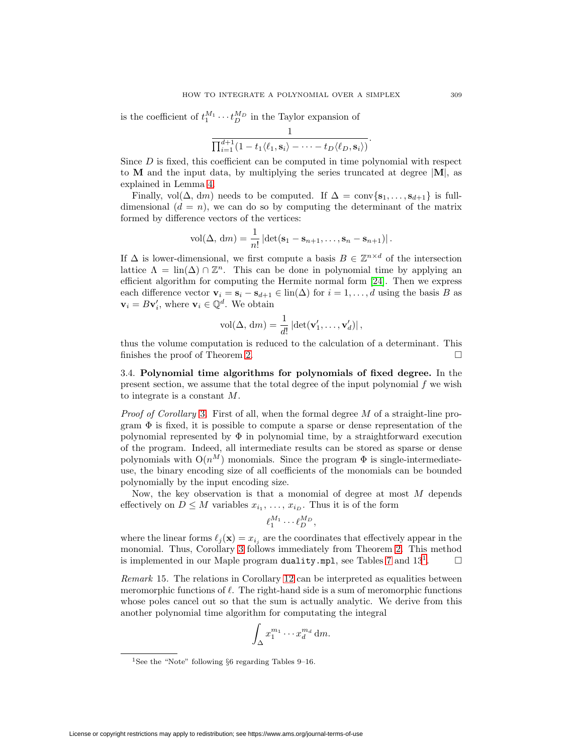is the coefficient of  $t_1^{M_1} \cdots t_D^{M_D}$  in the Taylor expansion of

$$
\frac{1}{\prod_{i=1}^{d+1}(1-t_1\langle \ell_1,\mathbf{s}_i\rangle-\cdots-t_D\langle \ell_D,\mathbf{s}_i\rangle)}
$$

Since  $D$  is fixed, this coefficient can be computed in time polynomial with respect to **M** and the input data, by multiplying the series truncated at degree |**M**|, as explained in Lemma [4.](#page-5-1)

Finally, vol( $\Delta$ , dm) needs to be computed. If  $\Delta = \text{conv}\{\mathbf{s}_1,\ldots,\mathbf{s}_{d+1}\}\)$  is fulldimensional  $(d = n)$ , we can do so by computing the determinant of the matrix formed by difference vectors of the vertices:

$$
\text{vol}(\Delta, dm) = \frac{1}{n!} \left| \det(\mathbf{s}_1 - \mathbf{s}_{n+1}, \dots, \mathbf{s}_n - \mathbf{s}_{n+1}) \right|.
$$

If  $\Delta$  is lower-dimensional, we first compute a basis  $B \in \mathbb{Z}^{n \times d}$  of the intersection lattice  $\Lambda = \text{lin}(\Delta) \cap \mathbb{Z}^n$ . This can be done in polynomial time by applying an efficient algorithm for computing the Hermite normal form [\[24\]](#page-27-14). Then we express each difference vector  $\mathbf{v}_i = \mathbf{s}_i - \mathbf{s}_{d+1} \in \text{lin}(\Delta)$  for  $i = 1, ..., d$  using the basis B as  $\mathbf{v}_i = B\mathbf{v}'_i$ , where  $\mathbf{v}_i \in \mathbb{Q}^d$ . We obtain

$$
\text{vol}(\Delta, \, \text{d}m) = \frac{1}{d!} \left| \det(\mathbf{v}'_1, \dots, \mathbf{v}'_d) \right|,
$$

thus the volume computation is reduced to the calculation of a determinant. This finishes the proof of Theorem [2.](#page-2-1)

<span id="page-12-1"></span>3.4. **Polynomial time algorithms for polynomials of fixed degree.** In the present section, we assume that the total degree of the input polynomial  $f$  we wish to integrate is a constant M.

*Proof of Corollary* [3](#page-2-0). First of all, when the formal degree  $M$  of a straight-line program  $\Phi$  is fixed, it is possible to compute a sparse or dense representation of the polynomial represented by  $\Phi$  in polynomial time, by a straightforward execution of the program. Indeed, all intermediate results can be stored as sparse or dense polynomials with  $O(n^M)$  monomials. Since the program  $\Phi$  is single-intermediateuse, the binary encoding size of all coefficients of the monomials can be bounded polynomially by the input encoding size.

Now, the key observation is that a monomial of degree at most M depends effectively on  $D \leq M$  variables  $x_{i_1}, \ldots, x_{i_D}$ . Thus it is of the form

$$
\ell_1^{M_1}\cdots \ell_D^{M_D},
$$

where the linear forms  $\ell_j(\mathbf{x}) = x_{i_j}$  are the coordinates that effectively appear in the monomial. Thus, Corollary [3](#page-2-0) follows immediately from Theorem [2.](#page-2-1) This method is implemented in our Maple program duality.mpl, see Tables [7](#page-22-0) and  $13<sup>1</sup>$  $13<sup>1</sup>$ .  $\Box$ 

<span id="page-12-2"></span>Remark 15. The relations in Corollary [12](#page-10-1) can be interpreted as equalities between meromorphic functions of  $\ell$ . The right-hand side is a sum of meromorphic functions whose poles cancel out so that the sum is actually analytic. We derive from this another polynomial time algorithm for computating the integral

$$
\int_{\Delta} x_1^{m_1} \cdots x_d^{m_d} \, \mathrm{d}m.
$$

.

<span id="page-12-0"></span><sup>&</sup>lt;sup>1</sup>See the "Note" following  $§6$  regarding Tables 9–16.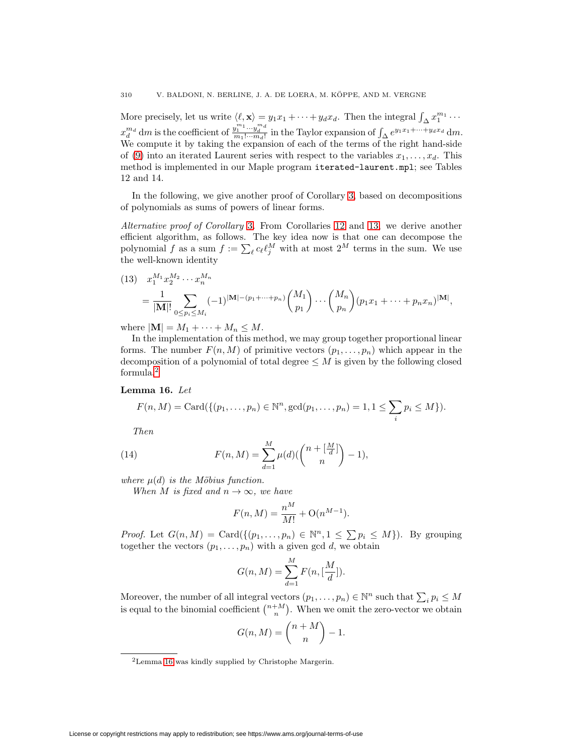More precisely, let us write  $\langle \ell, \mathbf{x} \rangle = y_1 x_1 + \cdots + y_d x_d$ . Then the integral  $\int_{\Delta} x_1^{m_1} \cdots$  $x_d^{m_d}$  dm is the coefficient of  $\frac{y_1^{m_1} \cdots y_d^{m_d}}{m_1! \cdots m_d!}$  in the Taylor expansion of  $\int_{\Delta} e^{y_1 x_1 + \cdots + y_d x_d}$  dm. We compute it by taking the expansion of each of the terms of the right hand-side of [\(9\)](#page-10-4) into an iterated Laurent series with respect to the variables  $x_1, \ldots, x_d$ . This method is implemented in our Maple program iterated-laurent.mpl; see Tables 12 and 14.

In the following, we give another proof of Corollary [3,](#page-2-0) based on decompositions of polynomials as sums of powers of linear forms.

Alternative proof of Corollary [3](#page-2-0). From Corollaries [12](#page-10-1) and [13,](#page-11-0) we derive another efficient algorithm, as follows. The key idea now is that one can decompose the polynomial f as a sum  $f := \sum_{\ell} c_{\ell} \ell_j^M$  with at most  $2^M$  terms in the sum. We use the well-known identity

<span id="page-13-3"></span>(13) 
$$
x_1^{M_1} x_2^{M_2} \cdots x_n^{M_n}
$$
  
= 
$$
\frac{1}{|\mathbf{M}|!} \sum_{0 \le p_i \le M_i} (-1)^{|\mathbf{M}| - (p_1 + \cdots + p_n)} {M_1 \choose p_1} \cdots {M_n \choose p_n} (p_1 x_1 + \cdots + p_n x_n)^{|\mathbf{M}|},
$$

where  $|\mathbf{M}| = M_1 + \cdots + M_n \leq M$ .

In the implementation of this method, we may group together proportional linear forms. The number  $F(n, M)$  of primitive vectors  $(p_1, \ldots, p_n)$  which appear in the decomposition of a polynomial of total degree  $\leq M$  is given by the following closed formula.[2](#page-13-0)

## <span id="page-13-1"></span>**Lemma 16.** Let

$$
F(n, M) = \text{Card}(\{(p_1, ..., p_n) \in \mathbb{N}^n, \gcd(p_1, ..., p_n) = 1, 1 \le \sum_i p_i \le M\}).
$$

Then

<span id="page-13-2"></span>(14) 
$$
F(n, M) = \sum_{d=1}^{M} \mu(d) \left( \binom{n + \left[\frac{M}{d}\right]}{n} - 1 \right),
$$

where  $\mu(d)$  is the Möbius function.

When M is fixed and  $n \to \infty$ , we have

$$
F(n, M) = \frac{n^{M}}{M!} + O(n^{M-1}).
$$

*Proof.* Let  $G(n, M) = \text{Card}(\{(p_1, \ldots, p_n) \in \mathbb{N}^n, 1 \leq \sum p_i \leq M\})$ . By grouping together the vectors  $(p_1, \ldots, p_n)$  with a given gcd d, we obtain

$$
G(n, M) = \sum_{d=1}^{M} F(n, \left[\frac{M}{d}\right]).
$$

Moreover, the number of all integral vectors  $(p_1, \ldots, p_n) \in \mathbb{N}^n$  such that  $\sum_i p_i \leq M$ is equal to the binomial coefficient  $\binom{n+M}{n}$ . When we omit the zero-vector we obtain

$$
G(n, M) = \binom{n+M}{n} - 1.
$$

<span id="page-13-0"></span><sup>2</sup>Lemma [16](#page-13-1) was kindly supplied by Christophe Margerin.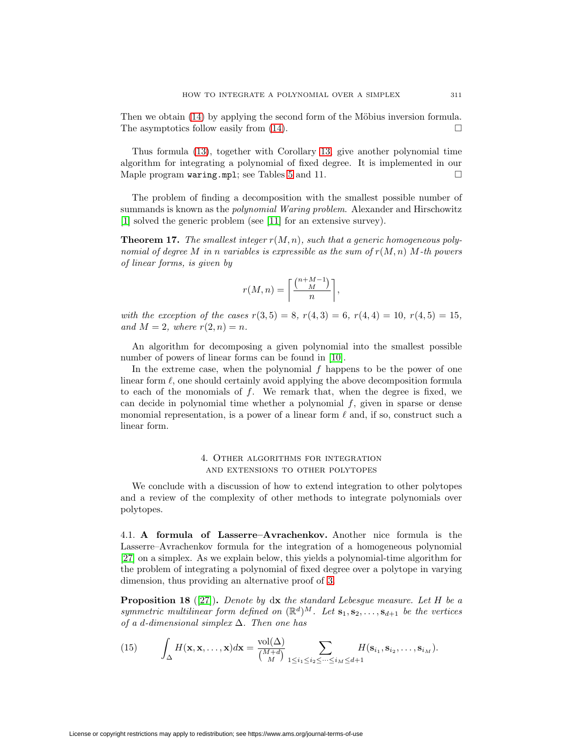Then we obtain  $(14)$  by applying the second form of the Möbius inversion formula. The asymptotics follow easily from  $(14)$ .  $\Box$ 

Thus formula [\(13\)](#page-13-3), together with Corollary [13,](#page-11-0) give another polynomial time algorithm for integrating a polynomial of fixed degree. It is implemented in our Maple program waring.mpl; see Tables [5](#page-20-0) and 11.  $\Box$ 

The problem of finding a decomposition with the smallest possible number of summands is known as the *polynomial Waring problem*. Alexander and Hirschowitz [\[1\]](#page-26-6) solved the generic problem (see [\[11\]](#page-26-7) for an extensive survey).

**Theorem 17.** The smallest integer  $r(M, n)$ , such that a generic homogeneous polynomial of degree M in n variables is expressible as the sum of  $r(M,n)$  M-th powers of linear forms, is given by

$$
r(M, n) = \left\lceil \frac{\binom{n + M - 1}{M}}{n} \right\rceil,
$$

with the exception of the cases  $r(3,5) = 8$ ,  $r(4,3) = 6$ ,  $r(4,4) = 10$ ,  $r(4,5) = 15$ , and  $M = 2$ , where  $r(2, n) = n$ .

An algorithm for decomposing a given polynomial into the smallest possible number of powers of linear forms can be found in [\[10\]](#page-26-8).

In the extreme case, when the polynomial  $f$  happens to be the power of one linear form  $\ell$ , one should certainly avoid applying the above decomposition formula to each of the monomials of  $f$ . We remark that, when the degree is fixed, we can decide in polynomial time whether a polynomial f, given in sparse or dense monomial representation, is a power of a linear form  $\ell$  and, if so, construct such a linear form.

## 4. Other algorithms for integration and extensions to other polytopes

<span id="page-14-1"></span>We conclude with a discussion of how to extend integration to other polytopes and a review of the complexity of other methods to integrate polynomials over polytopes.

4.1. **A formula of Lasserre–Avrachenkov.** Another nice formula is the Lasserre–Avrachenkov formula for the integration of a homogeneous polynomial [\[27\]](#page-27-11) on a simplex. As we explain below, this yields a polynomial-time algorithm for the problem of integrating a polynomial of fixed degree over a polytope in varying dimension, thus providing an alternative proof of [3.](#page-2-0)

<span id="page-14-0"></span>**Proposition 18** ([\[27\]](#page-27-11)). Denote by  $dx$  the standard Lebesgue measure. Let H be a symmetric multilinear form defined on  $(\mathbb{R}^d)^M$ . Let  $\mathbf{s}_1, \mathbf{s}_2, \ldots, \mathbf{s}_{d+1}$  be the vertices of a d-dimensional simplex  $\Delta$ . Then one has

<span id="page-14-2"></span>(15) 
$$
\int_{\Delta} H(\mathbf{x}, \mathbf{x}, \dots, \mathbf{x}) d\mathbf{x} = \frac{\text{vol}(\Delta)}{\binom{M+d}{M}} \sum_{1 \leq i_1 \leq i_2 \leq \dots \leq i_M \leq d+1} H(\mathbf{s}_{i_1}, \mathbf{s}_{i_2}, \dots, \mathbf{s}_{i_M}).
$$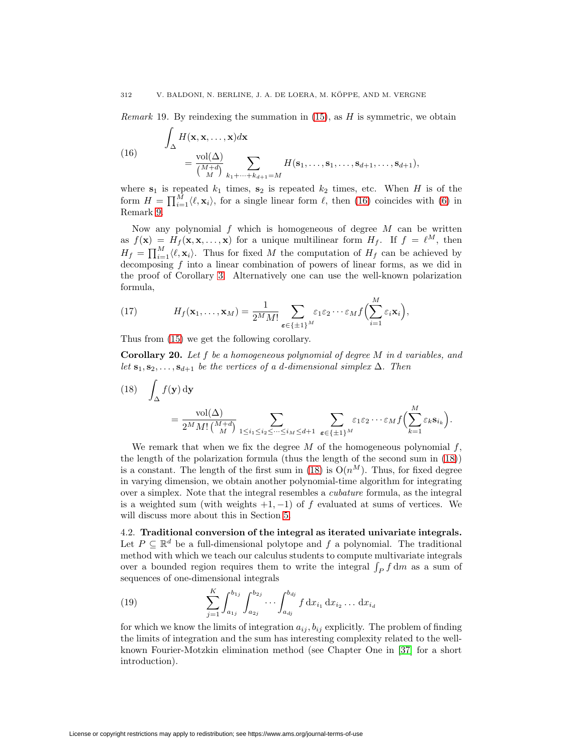<span id="page-15-0"></span>*Remark* 19. By reindexing the summation in  $(15)$ , as H is symmetric, we obtain

(16) 
$$
\int_{\Delta} H(\mathbf{x}, \mathbf{x}, ..., \mathbf{x}) d\mathbf{x} = \frac{\text{vol}(\Delta)}{\binom{M+d}{M}} \sum_{k_1 + ... + k_{d+1} = M} H(\mathbf{s}_1, ..., \mathbf{s}_1, ..., \mathbf{s}_{d+1}, ..., \mathbf{s}_{d+1}),
$$

where  $s_1$  is repeated  $k_1$  times,  $s_2$  is repeated  $k_2$  times, etc. When H is of the form  $H = \prod_{i=1}^{M} \langle \ell, \mathbf{x}_i \rangle$ , for a single linear form  $\ell$ , then [\(16\)](#page-15-0) coincides with [\(6\)](#page-9-2) in Remark [9.](#page-9-3)

Now any polynomial  $f$  which is homogeneous of degree  $M$  can be written as  $f(\mathbf{x}) = H_f(\mathbf{x}, \mathbf{x}, \dots, \mathbf{x})$  for a unique multilinear form  $H_f$ . If  $f = \ell^M$ , then  $H_f = \prod_{i=1}^M \langle \ell, \mathbf{x}_i \rangle$ . Thus for fixed M the computation of  $H_f$  can be achieved by decomposing f into a linear combination of powers of linear forms, as we did in the proof of Corollary [3.](#page-2-0) Alternatively one can use the well-known polarization formula,

(17) 
$$
H_f(\mathbf{x}_1,\ldots,\mathbf{x}_M)=\frac{1}{2^M M!}\sum_{\boldsymbol{\varepsilon}\in\{\pm 1\}^M}\varepsilon_1\varepsilon_2\cdots\varepsilon_Mf\Big(\sum_{i=1}^M\varepsilon_i\mathbf{x}_i\Big),
$$

Thus from [\(15\)](#page-14-2) we get the following corollary.

**Corollary 20.** Let f be a homogeneous polynomial of degree M in d variables, and let  $\mathbf{s}_1, \mathbf{s}_2, \ldots, \mathbf{s}_{d+1}$  be the vertices of a d-dimensional simplex  $\Delta$ . Then

<span id="page-15-1"></span>(18) 
$$
\int_{\Delta} f(\mathbf{y}) d\mathbf{y} = \frac{\text{vol}(\Delta)}{2^M M! \binom{M+d}{M}} \sum_{1 \leq i_1 \leq i_2 \leq \dots \leq i_M \leq d+1} \sum_{\epsilon \in \{\pm 1\}^M} \varepsilon_1 \varepsilon_2 \dots \varepsilon_M f\Big(\sum_{k=1}^M \varepsilon_k \mathbf{s}_{i_k}\Big).
$$

We remark that when we fix the degree  $M$  of the homogeneous polynomial  $f$ , the length of the polarization formula (thus the length of the second sum in [\(18\)](#page-15-1)) is a constant. The length of the first sum in [\(18\)](#page-15-1) is  $O(n^M)$ . Thus, for fixed degree in varying dimension, we obtain another polynomial-time algorithm for integrating over a simplex. Note that the integral resembles a cubature formula, as the integral is a weighted sum (with weights  $+1$ ,  $-1$ ) of f evaluated at sums of vertices. We will discuss more about this in Section [5.](#page-19-0)

4.2. **Traditional conversion of the integral as iterated univariate integrals.** Let  $P \subseteq \mathbb{R}^d$  be a full-dimensional polytope and f a polynomial. The traditional method with which we teach our calculus students to compute multivariate integrals over a bounded region requires them to write the integral  $\int_P f dm$  as a sum of sequences of one-dimensional integrals

<span id="page-15-2"></span>(19) 
$$
\sum_{j=1}^{K} \int_{a_{1j}}^{b_{1j}} \int_{a_{2j}}^{b_{2j}} \cdots \int_{a_{dj}}^{b_{dj}} f \, dx_{i_1} \, dx_{i_2} \ldots dx_{i_d}
$$

for which we know the limits of integration  $a_{ij}$ ,  $b_{ij}$  explicitly. The problem of finding the limits of integration and the sum has interesting complexity related to the wellknown Fourier-Motzkin elimination method (see Chapter One in [\[37\]](#page-27-15) for a short introduction).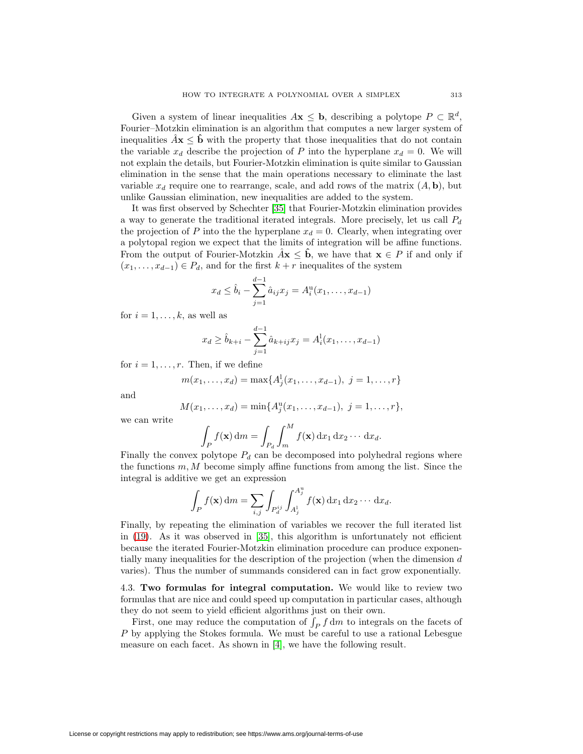Given a system of linear inequalities  $A\mathbf{x} \leq \mathbf{b}$ , describing a polytope  $P \subset \mathbb{R}^d$ , Fourier–Motzkin elimination is an algorithm that computes a new larger system of inequalities  $\hat{A}$ **x**  $\leq$  **b**<sup></sup> with the property that those inequalities that do not contain the variable  $x_d$  describe the projection of P into the hyperplane  $x_d = 0$ . We will not explain the details, but Fourier-Motzkin elimination is quite similar to Gaussian elimination in the sense that the main operations necessary to eliminate the last variable  $x_d$  require one to rearrange, scale, and add rows of the matrix  $(A, \mathbf{b})$ , but unlike Gaussian elimination, new inequalities are added to the system.

It was first observed by Schechter [\[35\]](#page-27-16) that Fourier-Motzkin elimination provides a way to generate the traditional iterated integrals. More precisely, let us call  $P_d$ the projection of P into the the hyperplane  $x_d = 0$ . Clearly, when integrating over a polytopal region we expect that the limits of integration will be affine functions. From the output of Fourier-Motzkin  $\hat{A}$ **x**  $\leq$  **b**, we have that **x**  $\in$  P if and only if  $(x_1, \ldots, x_{d-1}) \in P_d$ , and for the first  $k + r$  inequalites of the system

$$
x_d \le \hat{b}_i - \sum_{j=1}^{d-1} \hat{a}_{ij} x_j = A_i^{\mathrm{u}}(x_1, \dots, x_{d-1})
$$

for  $i = 1, \ldots, k$ , as well as

$$
x_d \ge \hat{b}_{k+i} - \sum_{j=1}^{d-1} \hat{a}_{k+j} x_j = A_i^1(x_1, \dots, x_{d-1})
$$

for  $i = 1, \ldots, r$ . Then, if we define

$$
m(x_1, \ldots, x_d) = \max\{A_j^1(x_1, \ldots, x_{d-1}), \ j = 1, \ldots, r\}
$$

and

$$
M(x_1,\ldots,x_d)=\min\{A_j^{\mathrm{u}}(x_1,\ldots,x_{d-1}),\ j=1,\ldots,r\},\
$$

we can write

$$
\int_P f(\mathbf{x}) \, dm = \int_{P_d} \int_m^M f(\mathbf{x}) \, dx_1 \, dx_2 \cdots \, dx_d.
$$

Finally the convex polytope  $P_d$  can be decomposed into polyhedral regions where the functions  $m, M$  become simply affine functions from among the list. Since the integral is additive we get an expression

$$
\int_P f(\mathbf{x}) \, dm = \sum_{i,j} \int_{P_d^{ij}} \int_{A_j^{1}}^{A_j^{u}} f(\mathbf{x}) \, dx_1 \, dx_2 \cdots dx_d.
$$

Finally, by repeating the elimination of variables we recover the full iterated list in [\(19\)](#page-15-2). As it was observed in [\[35\]](#page-27-16), this algorithm is unfortunately not efficient because the iterated Fourier-Motzkin elimination procedure can produce exponentially many inequalities for the description of the projection (when the dimension  $d$ varies). Thus the number of summands considered can in fact grow exponentially.

<span id="page-16-0"></span>4.3. **Two formulas for integral computation.** We would like to review two formulas that are nice and could speed up computation in particular cases, although they do not seem to yield efficient algorithms just on their own.

<span id="page-16-1"></span>First, one may reduce the computation of  $\int_P f \, dm$  to integrals on the facets of P by applying the Stokes formula. We must be careful to use a rational Lebesgue measure on each facet. As shown in [\[4\]](#page-26-9), we have the following result.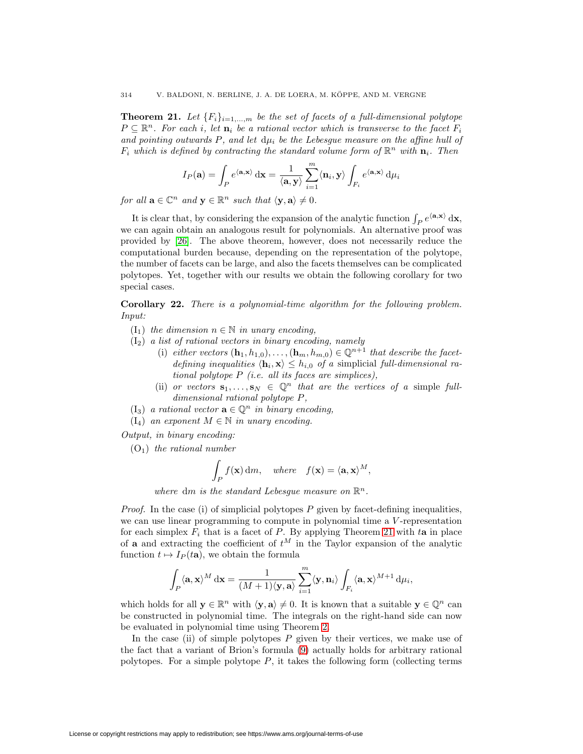**Theorem 21.** Let  ${F_i}_{i=1,...,m}$  be the set of facets of a full-dimensional polytope  $P \subseteq \mathbb{R}^n$ . For each i, let  $\mathbf{n}_i$  be a rational vector which is transverse to the facet  $F_i$ and pointing outwards  $P$ , and let  $d\mu_i$  be the Lebesgue measure on the affine hull of  $F_i$  which is defined by contracting the standard volume form of  $\mathbb{R}^n$  with  $\mathbf{n}_i$ . Then

$$
I_P(\mathbf{a}) = \int_P e^{\langle \mathbf{a}, \mathbf{x} \rangle} \, \mathrm{d}\mathbf{x} = \frac{1}{\langle \mathbf{a}, \mathbf{y} \rangle} \sum_{i=1}^m \langle \mathbf{n}_i, \mathbf{y} \rangle \int_{F_i} e^{\langle \mathbf{a}, \mathbf{x} \rangle} \, \mathrm{d}\mu_i
$$

for all  $\mathbf{a} \in \mathbb{C}^n$  and  $\mathbf{y} \in \mathbb{R}^n$  such that  $\langle \mathbf{y}, \mathbf{a} \rangle \neq 0$ .

It is clear that, by considering the expansion of the analytic function  $\int_P e^{\langle \mathbf{a}, \mathbf{x} \rangle} \, \mathrm{d} \mathbf{x}$ , we can again obtain an analogous result for polynomials. An alternative proof was provided by [\[26\]](#page-27-17). The above theorem, however, does not necessarily reduce the computational burden because, depending on the representation of the polytope, the number of facets can be large, and also the facets themselves can be complicated polytopes. Yet, together with our results we obtain the following corollary for two special cases.

**Corollary 22.** There is a polynomial-time algorithm for the following problem. Input:

- $(I_1)$  the dimension  $n \in \mathbb{N}$  in unary encoding,
- $(I_2)$  a list of rational vectors in binary encoding, namely
	- (i) either vectors  $(\mathbf{h}_1, h_{1,0}), \ldots, (\mathbf{h}_m, h_{m,0}) \in \mathbb{Q}^{n+1}$  that describe the facetdefining inequalities  $\langle \mathbf{h}_i, \mathbf{x} \rangle \leq h_{i,0}$  of a simplicial full-dimensional rational polytope  $P$  (i.e. all its faces are simplices),
	- (ii) or vectors  $\mathbf{s}_1,\ldots,\mathbf{s}_N \in \mathbb{Q}^n$  that are the vertices of a simple fulldimensional rational polytope P,
- $(I_3)$  a rational vector  $\mathbf{a} \in \mathbb{Q}^n$  in binary encoding,
- $(I_4)$  an exponent  $M \in \mathbb{N}$  in unary encoding.

Output, in binary encoding:

 $(O_1)$  the rational number

$$
\int_P f(\mathbf{x}) \, dm, \quad where \quad f(\mathbf{x}) = \langle \mathbf{a}, \mathbf{x} \rangle^M,
$$

where dm is the standard Lebesgue measure on  $\mathbb{R}^n$ .

*Proof.* In the case (i) of simplicial polytopes  $P$  given by facet-defining inequalities, we can use linear programming to compute in polynomial time a V-representation for each simplex  $F_i$  that is a facet of P. By applying Theorem [21](#page-16-1) with ta in place of **a** and extracting the coefficient of  $t^M$  in the Taylor expansion of the analytic function  $t \mapsto I_P(t\mathbf{a})$ , we obtain the formula

$$
\int_P \langle \mathbf{a}, \mathbf{x} \rangle^M \, \mathrm{d} \mathbf{x} = \frac{1}{(M+1)\langle \mathbf{y}, \mathbf{a} \rangle} \sum_{i=1}^m \langle \mathbf{y}, \mathbf{n}_i \rangle \int_{F_i} \langle \mathbf{a}, \mathbf{x} \rangle^{M+1} \, \mathrm{d} \mu_i,
$$

which holds for all  $y \in \mathbb{R}^n$  with  $\langle y, a \rangle \neq 0$ . It is known that a suitable  $y \in \mathbb{Q}^n$  can be constructed in polynomial time. The integrals on the right-hand side can now be evaluated in polynomial time using Theorem [2.](#page-2-1)

In the case (ii) of simple polytopes  $P$  given by their vertices, we make use of the fact that a variant of Brion's formula [\(9\)](#page-10-4) actually holds for arbitrary rational polytopes. For a simple polytope  $P$ , it takes the following form (collecting terms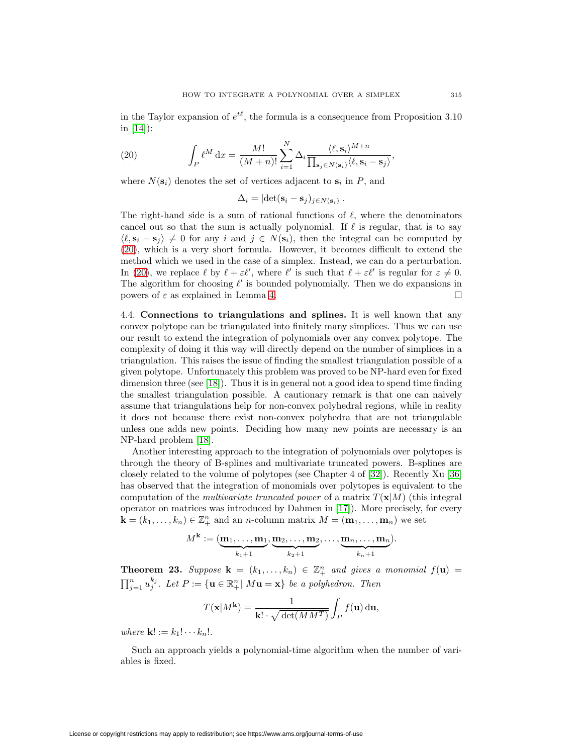<span id="page-18-0"></span>in the Taylor expansion of  $e^{t\ell}$ , the formula is a consequence from Proposition 3.10 in [\[14\]](#page-26-10)):

(20) 
$$
\int_P \ell^M dx = \frac{M!}{(M+n)!} \sum_{i=1}^N \Delta_i \frac{\langle \ell, \mathbf{s}_i \rangle^{M+n}}{\prod_{\mathbf{s}_j \in N(\mathbf{s}_i)} \langle \ell, \mathbf{s}_i - \mathbf{s}_j \rangle},
$$

where  $N(\mathbf{s}_i)$  denotes the set of vertices adjacent to  $\mathbf{s}_i$  in P, and

 $\Delta_i = |\det(\mathbf{s}_i - \mathbf{s}_j)_{i \in N(\mathbf{s}_i)}|.$ 

The right-hand side is a sum of rational functions of  $\ell$ , where the denominators cancel out so that the sum is actually polynomial. If  $\ell$  is regular, that is to say  $\langle \ell, \mathbf{s}_i - \mathbf{s}_j \rangle \neq 0$  for any i and  $j \in N(\mathbf{s}_i)$ , then the integral can be computed by [\(20\)](#page-18-0), which is a very short formula. However, it becomes difficult to extend the method which we used in the case of a simplex. Instead, we can do a perturbation. In [\(20\)](#page-18-0), we replace  $\ell$  by  $\ell + \varepsilon \ell'$ , where  $\ell'$  is such that  $\ell + \varepsilon \ell'$  is regular for  $\varepsilon \neq 0$ . The algorithm for choosing  $\ell'$  is bounded polynomially. Then we do expansions in powers of  $\varepsilon$  as explained in Lemma [4.](#page-5-1)  $\Box$ 

4.4. **Connections to triangulations and splines.** It is well known that any convex polytope can be triangulated into finitely many simplices. Thus we can use our result to extend the integration of polynomials over any convex polytope. The complexity of doing it this way will directly depend on the number of simplices in a triangulation. This raises the issue of finding the smallest triangulation possible of a given polytope. Unfortunately this problem was proved to be NP-hard even for fixed dimension three (see [\[18\]](#page-27-18)). Thus it is in general not a good idea to spend time finding the smallest triangulation possible. A cautionary remark is that one can naively assume that triangulations help for non-convex polyhedral regions, while in reality it does not because there exist non-convex polyhedra that are not triangulable unless one adds new points. Deciding how many new points are necessary is an NP-hard problem [\[18\]](#page-27-18).

Another interesting approach to the integration of polynomials over polytopes is through the theory of B-splines and multivariate truncated powers. B-splines are closely related to the volume of polytopes (see Chapter 4 of [\[32\]](#page-27-1)). Recently Xu [\[36\]](#page-27-19) has observed that the integration of monomials over polytopes is equivalent to the computation of the *multivariate truncated power* of a matrix  $T(\mathbf{x}|M)$  (this integral operator on matrices was introduced by Dahmen in [\[17\]](#page-27-20)). More precisely, for every  $\mathbf{k} = (k_1, \ldots, k_n) \in \mathbb{Z}_+^n$  and an *n*-column matrix  $M = (\mathbf{m}_1, \ldots, \mathbf{m}_n)$  we set

$$
M^{\mathbf{k}} := (\underbrace{\mathbf{m}_1, \dots, \mathbf{m}_1}_{k_1+1}, \underbrace{\mathbf{m}_2, \dots, \mathbf{m}_2}_{k_2+1}, \dots, \underbrace{\mathbf{m}_n, \dots, \mathbf{m}_n}_{k_n+1}).
$$

**Theorem 23.** Suppose  $\mathbf{k} = (k_1, \ldots, k_n) \in \mathbb{Z}_+^n$  and gives a monomial  $f(\mathbf{u}) =$  $\prod_{j=1}^n u_j^{k_j}$ . Let  $P := \{ \mathbf{u} \in \mathbb{R}^n_+ | M\mathbf{u} = \mathbf{x} \}$  be a polyhedron. Then

$$
T(\mathbf{x}|M^{\mathbf{k}}) = \frac{1}{\mathbf{k}! \cdot \sqrt{\det(MM^T)}} \int_P f(\mathbf{u}) \, \mathrm{d}\mathbf{u},
$$

where  $\mathbf{k}$ ! :=  $k_1$ !  $\cdots k_n$ !.

Such an approach yields a polynomial-time algorithm when the number of variables is fixed.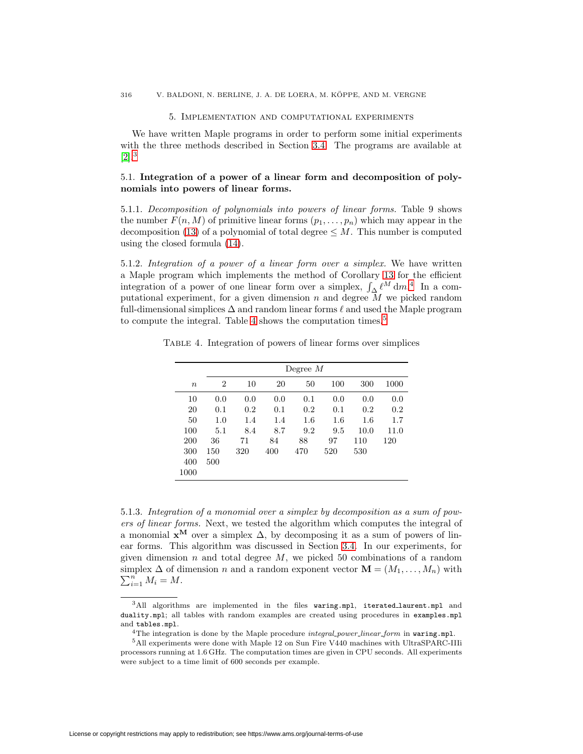#### 5. Implementation and computational experiments

<span id="page-19-0"></span>We have written Maple programs in order to perform some initial experiments with the three methods described in Section [3.4.](#page-12-1) The programs are available at  $[2].^3$  $[2].^3$  $[2].^3$ 

# 5.1. **Integration of a power of a linear form and decomposition of polynomials into powers of linear forms.**

5.1.1. Decomposition of polynomials into powers of linear forms. Table 9 shows the number  $F(n, M)$  of primitive linear forms  $(p_1, \ldots, p_n)$  which may appear in the decomposition [\(13\)](#page-13-3) of a polynomial of total degree  $\leq M$ . This number is computed using the closed formula [\(14\)](#page-13-2).

5.1.2. Integration of a power of a linear form over a simplex. We have written a Maple program which implements the method of Corollary [13](#page-11-0) for the efficient integration of a power of one linear form over a simplex,  $\int_{\Delta} \ell^{M} dm$ .<sup>[4](#page-19-3)</sup> In a computational experiment, for a given dimension n and degree  $\overline{M}$  we picked random full-dimensional simplices  $\Delta$  and random linear forms  $\ell$  and used the Maple program to compute the integral. Table [4](#page-19-1) shows the computation times.<sup>[5](#page-19-4)</sup>

<span id="page-19-1"></span>Table 4. Integration of powers of linear forms over simplices

|                  |     | Degree $M$ |     |     |     |         |         |  |  |  |  |  |  |  |
|------------------|-----|------------|-----|-----|-----|---------|---------|--|--|--|--|--|--|--|
| $\boldsymbol{n}$ | 2   | 10         | 20  | 50  | 100 | 300     | 1000    |  |  |  |  |  |  |  |
| 10               | 0.0 | 0.0        | 0.0 | 0.1 | 0.0 | 0.0     | 0.0     |  |  |  |  |  |  |  |
| 20               | 0.1 | 0.2        | 0.1 | 0.2 | 0.1 | 0.2     | 0.2     |  |  |  |  |  |  |  |
| 50               | 1.0 | 1.4        | 1.4 | 1.6 | 1.6 | $1.6\,$ | $1.7\,$ |  |  |  |  |  |  |  |
| 100              | 5.1 | 8.4        | 8.7 | 9.2 | 9.5 | 10.0    | 11.0    |  |  |  |  |  |  |  |
| 200              | 36  | 71         | 84  | 88  | 97  | 110     | 120     |  |  |  |  |  |  |  |
| 300              | 150 | 320        | 400 | 470 | 520 | 530     |         |  |  |  |  |  |  |  |
| 400              | 500 |            |     |     |     |         |         |  |  |  |  |  |  |  |
| 1000             |     |            |     |     |     |         |         |  |  |  |  |  |  |  |

5.1.3. Integration of a monomial over a simplex by decomposition as a sum of powers of linear forms. Next, we tested the algorithm which computes the integral of a monomial  $\mathbf{x}^{\mathbf{M}}$  over a simplex  $\Delta$ , by decomposing it as a sum of powers of linear forms. This algorithm was discussed in Section [3.4.](#page-12-1) In our experiments, for given dimension n and total degree  $M$ , we picked 50 combinations of a random simplex  $\Delta$  of dimension *n* and a random exponent vector  $\mathbf{M} = (M_1, \ldots, M_n)$  with  $\sum_{i=1}^{n} M_i = M$  $\sum_{i=1}^n M_i = M.$ 

License or copyright restrictions may apply to redistribution; see https://www.ams.org/journal-terms-of-use

<span id="page-19-2"></span> $3$ All algorithms are implemented in the files waring.mpl, iterated laurent.mpl and duality.mpl; all tables with random examples are created using procedures in examples.mpl and tables.mpl.

<sup>&</sup>lt;sup>4</sup>The integration is done by the Maple procedure *integral power linear form* in waring.mpl.

<span id="page-19-4"></span><span id="page-19-3"></span> $^5\mathrm{All}$  experiments were done with Maple 12 on Sun Fire V440 machines with UltraSPARC-IIIi processors running at 1.6 GHz. The computation times are given in CPU seconds. All experiments were subject to a time limit of 600 seconds per example.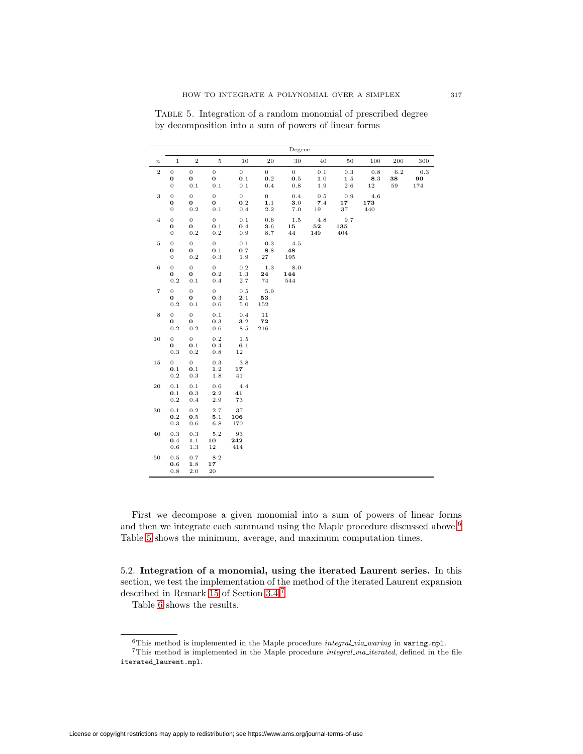|                   |                                                  |                                         |                                       |                                      |                                  | Degree                                  |                          |                           |                   |                 |                  |
|-------------------|--------------------------------------------------|-----------------------------------------|---------------------------------------|--------------------------------------|----------------------------------|-----------------------------------------|--------------------------|---------------------------|-------------------|-----------------|------------------|
| $\boldsymbol{n}$  | $\,1$                                            | $\,2$                                   | $\rm 5$                               | 10                                   | 20                               | 30                                      | 40                       | 50                        | 100               | 200             | 300              |
| $\,2$             | $\boldsymbol{0}$<br>$\mathbf 0$<br>$\mathbf{0}$  | $\overline{0}$<br>0<br>$0.1\,$          | $\overline{0}$<br>$\bf{0}$<br>$0.1\,$ | $\overline{0}$<br>$0.1\,$<br>$0.1\,$ | $\overline{0}$<br>$0.2\,$<br>0.4 | $\overline{0}$<br>$\mathbf{0.5}$<br>0.8 | 0.1<br>1.0<br>1.9        | 0.3<br>$1.5\,$<br>$2.6\,$ | 0.8<br>8.3<br>12  | 6.2<br>38<br>59 | 0.3<br>90<br>174 |
| $\,3$             | $\overline{0}$<br>$\bf{0}$<br>$\boldsymbol{0}$   | $\overline{0}$<br>0<br>0.2              | $\overline{0}$<br>$\bf{0}$<br>$0.1\,$ | $\overline{0}$<br>0.2<br>0.4         | $\overline{0}$<br>1.1<br>$2.2\,$ | 0.4<br>3.0<br>$7.0\,$                   | 0.5<br>7.4<br>19         | $_{\rm 0.9}$<br>17<br>37  | 4.6<br>173<br>440 |                 |                  |
| $\overline{4}$    | $\mathbf 0$<br>$\boldsymbol{0}$<br>$\mathbf{0}$  | $\overline{0}$<br>0<br>$0.2\,$          | $\overline{0}$<br>$0.1\,$<br>$0.2\,$  | 0.1<br>0.4<br>0.9                    | 0.6<br>3.6<br>8.7                | $1.5\,$<br>15<br>44                     | 4.8<br>${\bf 52}$<br>149 | 9.7<br>135<br>404         |                   |                 |                  |
| $\rm 5$           | $\boldsymbol{0}$<br>$\bf{0}$<br>$\boldsymbol{0}$ | $\overline{0}$<br>$\bf{0}$<br>$\rm 0.2$ | $\overline{0}$<br>0.1<br>$0.3\,$      | 0.1<br>0.7<br>1.9                    | 0.3<br>8.8<br>$^{\rm 27}$        | 4.5<br>48<br>195                        |                          |                           |                   |                 |                  |
| $\,6$             | $\overline{0}$<br>0<br>$\rm 0.2$                 | $\overline{0}$<br>0<br>$0.1\,$          | $\overline{0}$<br>0.2<br>0.4          | 0.2<br>$1.3\,$<br>2.7                | $1.3\,$<br>24<br>74              | 8.0<br>144<br>544                       |                          |                           |                   |                 |                  |
| $\scriptstyle{7}$ | $\overline{0}$<br>0<br>0.2                       | $\overline{0}$<br>0<br>$0.1\,$          | $\overline{0}$<br>0.3<br>$0.6\,$      | 0.5<br>2.1<br>$5.0\,$                | 5.9<br>53<br>152                 |                                         |                          |                           |                   |                 |                  |
| $\,8\,$           | $\overline{0}$<br>0<br>$\rm 0.2$                 | $\overline{0}$<br>0<br>$0.2\,$          | $0.1\,$<br>0.3<br>$0.6\,$             | 0.4<br>3.2<br>$8.5\,$                | 11<br>72<br>216                  |                                         |                          |                           |                   |                 |                  |
| 10                | $\overline{0}$<br>0<br>$0.3\,$                   | $\overline{0}$<br>0.1<br>$\rm 0.2$      | 0.2<br>0.4<br>$0.8\,$                 | 1.5<br>6.1<br>12                     |                                  |                                         |                          |                           |                   |                 |                  |
| $15\,$            | $\overline{0}$<br>0.1<br>0.2                     | $\overline{0}$<br>0.1<br>$0.3\,$        | 0.3<br>$1.2\,$<br>$1.8\,$             | $3.8\,$<br>17<br>41                  |                                  |                                         |                          |                           |                   |                 |                  |
| 20                | 0.1<br>0.1<br>$_{\rm 0.2}$                       | 0.1<br>0.3<br>0.4                       | 0.6<br>$\mathbf{2.2}$<br>$2.9\,$      | 4.4<br>41<br>73                      |                                  |                                         |                          |                           |                   |                 |                  |
| 30                | 0.1<br>0.2<br>$0.3\,$                            | 0.2<br>0.5<br>0.6                       | 2.7<br>5.1<br>6.8                     | 37<br>106<br>170                     |                                  |                                         |                          |                           |                   |                 |                  |
| 40                | 0.3<br>0.4<br>0.6                                | $0.3\,$<br>$1.1\,$<br>$1.3\,$           | $5.2\,$<br>10<br>$12\,$               | 93<br>242<br>414                     |                                  |                                         |                          |                           |                   |                 |                  |
| 50                | 0.5<br>0.6<br>0.8                                | 0.7<br>$1.8\,$<br>2.0                   | 8.2<br>17<br>20                       |                                      |                                  |                                         |                          |                           |                   |                 |                  |

<span id="page-20-0"></span>Table 5. Integration of a random monomial of prescribed degree by decomposition into a sum of powers of linear forms

First we decompose a given monomial into a sum of powers of linear forms and then we integrate each summand using the Maple procedure discussed above.<sup>[6](#page-20-1)</sup> Table [5](#page-20-0) shows the minimum, average, and maximum computation times.

5.2. **Integration of a monomial, using the iterated Laurent series.** In this section, we test the implementation of the method of the iterated Laurent expansion described in Remark [15](#page-12-2) of Section [3.4.](#page-12-1)[7](#page-20-2)

Table [6](#page-21-0) shows the results.

This method is implemented in the Maple procedure integral via waring in waring.mpl.

<span id="page-20-2"></span><span id="page-20-1"></span>This method is implemented in the Maple procedure integral via iterated, defined in the file iterated laurent.mpl.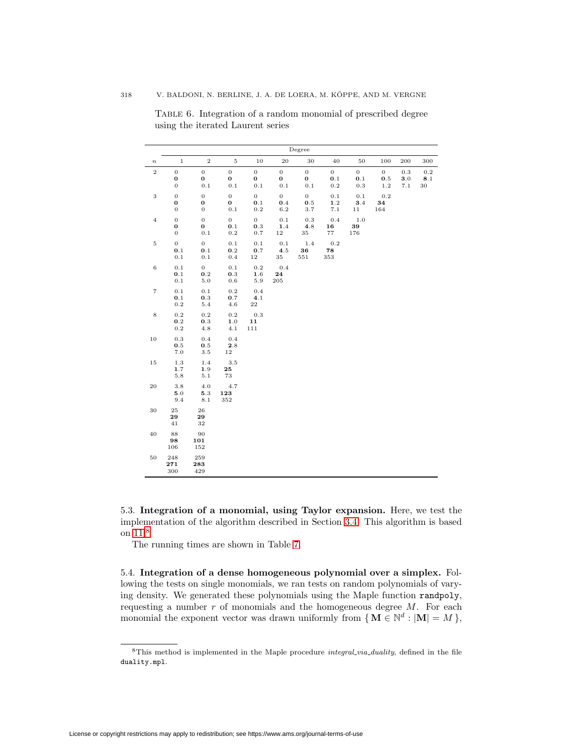|                   | Degree                                              |                                               |                                       |                                    |                                   |                                |                                    |                                     |                                  |                                  |                      |  |
|-------------------|-----------------------------------------------------|-----------------------------------------------|---------------------------------------|------------------------------------|-----------------------------------|--------------------------------|------------------------------------|-------------------------------------|----------------------------------|----------------------------------|----------------------|--|
| $\boldsymbol{n}$  | $\,1\,$                                             | $\,2$                                         | $\,$ 5 $\,$                           | 10                                 | 20                                | 30                             | 40                                 | 50                                  | 100                              | 200                              | 300                  |  |
| $\,2$             | $\boldsymbol{0}$<br>$\mathbf 0$<br>$\boldsymbol{0}$ | $\boldsymbol{0}$<br>$\boldsymbol{0}$<br>0.1   | $\overline{0}$<br>0<br>$0.1\,$        | $\overline{0}$<br>0<br>$0.1\,$     | $\overline{0}$<br>$\bf{0}$<br>0.1 | $\overline{0}$<br>0<br>$0.1\,$ | $\overline{0}$<br>0.1<br>$\rm 0.2$ | $\overline{0}$<br>0.1<br>$\rm 0.3$  | $\overline{0}$<br>0.5<br>$1.2\,$ | 0.3<br>$\mathbf{3.0}$<br>$7.1\,$ | 0.2<br>8.1<br>$30\,$ |  |
| $\,3$             | $\mathbf 0$<br>$\mathbf 0$<br>$\mathbf{0}$          | $\boldsymbol{0}$<br>$\bf{0}$<br>$\mathbf 0$   | $\overline{0}$<br>$\bf{0}$<br>$0.1\,$ | $\overline{0}$<br>0.1<br>$\rm 0.2$ | $\overline{0}$<br>0.4<br>$6.2\,$  | $\overline{0}$<br>0.5<br>3.7   | $0.1\,$<br>$1.2\,$<br>$7.1\,$      | $0.1\,$<br>$\mathbf{3.4}$<br>$11\,$ | $0.2\,$<br>34<br>164             |                                  |                      |  |
| $\,4$             | $\overline{0}$<br>$\boldsymbol{0}$<br>$\,0\,$       | $\overline{0}$<br>$\boldsymbol{0}$<br>$0.1\,$ | $\overline{0}$<br>0.1<br>$\rm 0.2$    | $\overline{0}$<br>$0.3\,$<br>0.7   | $0.1\,$<br>1.4<br>$1\,2$          | 0.3<br>4.8<br>35               | 0.4<br>16<br>77                    | $1.0$<br>39<br>176                  |                                  |                                  |                      |  |
| $\rm 5$           | $\overline{0}$<br>0.1<br>0.1                        | $\overline{0}$<br>0.1<br>0.1                  | 0.1<br>0.2<br>0.4                     | 0.1<br>$0.7\,$<br>$12\,$           | 0.1<br>4.5<br>35                  | 1.4<br>36<br>551               | 0.2<br>78<br>353                   |                                     |                                  |                                  |                      |  |
| $\,6$             | 0.1<br>$0.1\,$<br>$0.1\,$                           | $\overline{0}$<br>$0.2\,$<br>$5.0\,$          | 0.1<br>0.3<br>$\rm 0.6$               | 0.2<br>$1.6\,$<br>$5.9\,$          | 0.4<br>${\bf 24}$<br>$\,205$      |                                |                                    |                                     |                                  |                                  |                      |  |
| $\scriptstyle{7}$ | $0.1\,$<br>$0.1\,$<br>$0.2\,$                       | $0.1\,$<br>0.3<br>$5.4\,$                     | $\rm 0.2$<br>0.7<br>4.6               | 0.4<br>4.1<br>$\bf{^{22}}$         |                                   |                                |                                    |                                     |                                  |                                  |                      |  |
| $\,$ 8 $\,$       | 0.2<br>$\mathbf{0.2}$<br>$_{\rm 0.2}$               | 0.2<br>$\mathbf{0.3}$<br>4.8                  | 0.2<br>${\bf 1}.0$<br>4.1             | 0.3<br>11<br>111                   |                                   |                                |                                    |                                     |                                  |                                  |                      |  |
| $10\,$            | 0.3<br>$\mathbf{0.5}$<br>$7.0\,$                    | 0.4<br>$0.5\,$<br>$3.5\,$                     | 0.4<br>$\mathbf{2.8}$<br>$1\,2$       |                                    |                                   |                                |                                    |                                     |                                  |                                  |                      |  |
| $15\,$            | $1.3\,$<br>1.7<br>$5.8\,$                           | 1.4<br>1.9<br>$5.1\,$                         | $3.5\,$<br>25<br>73                   |                                    |                                   |                                |                                    |                                     |                                  |                                  |                      |  |
| $\rm 20$          | 3.8<br>${\bf 5.0}$<br>9.4                           | 4.0<br>$\mathbf{5.3}$<br>8.1                  | 4.7<br>123<br>352                     |                                    |                                   |                                |                                    |                                     |                                  |                                  |                      |  |
| $30\,$            | 25<br>29<br>41                                      | 26<br>29<br>32                                |                                       |                                    |                                   |                                |                                    |                                     |                                  |                                  |                      |  |
| 40                | 88<br>98<br>106                                     | 90<br>101<br>152                              |                                       |                                    |                                   |                                |                                    |                                     |                                  |                                  |                      |  |
| $50\,$            | 248<br>271<br>300                                   | 259<br>283<br>429                             |                                       |                                    |                                   |                                |                                    |                                     |                                  |                                  |                      |  |

<span id="page-21-0"></span>Table 6. Integration of a random monomial of prescribed degree using the iterated Laurent series

5.3. **Integration of a monomial, using Taylor expansion.** Here, we test the implementation of the algorithm described in Section [3.4.](#page-12-1) This algorithm is based on [11.](#page-10-0)<sup>[8](#page-21-1)</sup>

The running times are shown in Table [7.](#page-22-0)

5.4. **Integration of a dense homogeneous polynomial over a simplex.** Following the tests on single monomials, we ran tests on random polynomials of varying density. We generated these polynomials using the Maple function randpoly, requesting a number  $r$  of monomials and the homogeneous degree  $M$ . For each monomial the exponent vector was drawn uniformly from  $\{ \mathbf{M} \in \mathbb{N}^d : |\mathbf{M}| = M \}$ ,

<span id="page-21-1"></span> ${}^{8}$ This method is implemented in the Maple procedure *integral via duality*, defined in the file duality.mpl.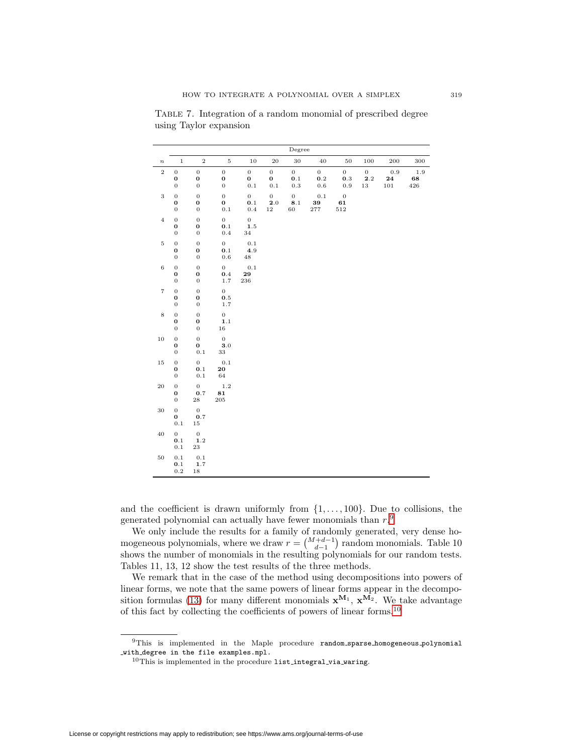|                   | Degree                                                   |                                                     |                                               |                                          |                                            |                                          |                                  |                                                  |                                 |                      |                      |
|-------------------|----------------------------------------------------------|-----------------------------------------------------|-----------------------------------------------|------------------------------------------|--------------------------------------------|------------------------------------------|----------------------------------|--------------------------------------------------|---------------------------------|----------------------|----------------------|
| $\boldsymbol{n}$  | $\mathbf 1$                                              | $\,2$                                               | $\rm 5$                                       | 10                                       | 20                                         | 30                                       | 40                               | $50\,$                                           | 100                             | 200                  | 300                  |
| $\,2$             | $\boldsymbol{0}$<br>$\bf{0}$<br>$\boldsymbol{0}$         | $\boldsymbol{0}$<br>$\bf{0}$<br>$\,0\,$             | $\boldsymbol{0}$<br>$\mathbf 0$<br>$\,0\,$    | $\boldsymbol{0}$<br>$\pmb{0}$<br>$0.1\,$ | $\boldsymbol{0}$<br>$\mathbf 0$<br>$0.1\,$ | $\overline{0}$<br>0.1<br>$\rm 0.3$       | $\overline{0}$<br>0.2<br>$0.6\,$ | $\overline{0}$<br>$\mathbf{0.3}$<br>$_{\rm 0.9}$ | $\overline{0}$<br>2.2<br>$13\,$ | 0.9<br>24<br>$101\,$ | $1.9\,$<br>68<br>426 |
| $\,$ 3 $\,$       | $\boldsymbol{0}$<br>$\mathbf 0$<br>$\boldsymbol{0}$      | $\mathbf 0$<br>$\boldsymbol{0}$<br>$\boldsymbol{0}$ | $\boldsymbol{0}$<br>$\bf{0}$<br>$0.1\,$       | $\,0$<br>0.1<br>0.4                      | $\boldsymbol{0}$<br>2.0<br>$1\sqrt{2}$     | $\boldsymbol{0}$<br>$\mathbf{8.1}$<br>60 | $0.1\,$<br>39<br>$277\,$         | $\boldsymbol{0}$<br>61<br>$512\,$                |                                 |                      |                      |
| $\overline{4}$    | $\boldsymbol{0}$<br>$\mathbf 0$<br>$\boldsymbol{0}$      | $\boldsymbol{0}$<br>$\mathbf 0$<br>$\boldsymbol{0}$ | $\overline{0}$<br>$0.1\,$<br>$0.4\,$          | $\mathbf{0}$<br>$1.5\,$<br>34            |                                            |                                          |                                  |                                                  |                                 |                      |                      |
| $\rm 5$           | $\mathbf 0$<br>$\boldsymbol{0}$<br>$\boldsymbol{0}$      | $\boldsymbol{0}$<br>$\bf{0}$<br>$\boldsymbol{0}$    | $\overline{0}$<br>$0.1\,$<br>$0.6\,$          | $0.1\,$<br>4.9<br>48                     |                                            |                                          |                                  |                                                  |                                 |                      |                      |
| $\,6$             | $\boldsymbol{0}$<br>$\mathbf 0$<br>$\boldsymbol{0}$      | $\mathbf 0$<br>$\mathbf 0$<br>$\boldsymbol{0}$      | $\overline{0}$<br>$0.4\,$<br>$1\,.7$          | 0.1<br>29<br>$\bf 236$                   |                                            |                                          |                                  |                                                  |                                 |                      |                      |
| $\scriptstyle{7}$ | $\boldsymbol{0}$<br>$\mathbf 0$<br>$\boldsymbol{0}$      | $\boldsymbol{0}$<br>$\pmb{0}$<br>$\boldsymbol{0}$   | $\overline{0}$<br>$\mathbf{0.5}$<br>$1.7\,$   |                                          |                                            |                                          |                                  |                                                  |                                 |                      |                      |
| $\,$ 8 $\,$       | $\overline{0}$<br>$\mathbf 0$<br>$\boldsymbol{0}$        | $\mathbf 0$<br>$\bf{0}$<br>$\boldsymbol{0}$         | $\overline{0}$<br>1.1<br>16                   |                                          |                                            |                                          |                                  |                                                  |                                 |                      |                      |
| $10\,$            | $\boldsymbol{0}$<br>$\mathbf 0$<br>$\boldsymbol{0}$      | $\overline{0}$<br>$\mathbf 0$<br>$0.1\,$            | $\mathbf{0}$<br>$\mathbf{3.0}$<br>$^{\rm 33}$ |                                          |                                            |                                          |                                  |                                                  |                                 |                      |                      |
| $15\,$            | $\boldsymbol{0}$<br>$\boldsymbol{0}$<br>$\boldsymbol{0}$ | $\boldsymbol{0}$<br>$\mathbf{0.1}$<br>$0.1\,$       | $0.1\,$<br>20<br>$64\,$                       |                                          |                                            |                                          |                                  |                                                  |                                 |                      |                      |
| 20                | $\mathbf 0$<br>$\boldsymbol{0}$<br>$\boldsymbol{0}$      | $\mathbf{0}$<br>$0.7\,$<br>$\bf 28$                 | 1.2<br>81<br>$\,205$                          |                                          |                                            |                                          |                                  |                                                  |                                 |                      |                      |
| $30\,$            | $\boldsymbol{0}$<br>0<br>$0.1\,$                         | $\mathbf 0$<br>0.7<br>$15\,$                        |                                               |                                          |                                            |                                          |                                  |                                                  |                                 |                      |                      |
| 40                | $\boldsymbol{0}$<br>0.1<br>$0.1\,$                       | $\mathbf 0$<br>$1.2\,$<br>$\bf 23$                  |                                               |                                          |                                            |                                          |                                  |                                                  |                                 |                      |                      |
| 50                | 0.1<br>$0.1\,$<br>$\rm 0.2$                              | $0.1\,$<br>$1.7\,$<br>$18\,$                        |                                               |                                          |                                            |                                          |                                  |                                                  |                                 |                      |                      |

<span id="page-22-0"></span>Table 7. Integration of a random monomial of prescribed degree using Taylor expansion

and the coefficient is drawn uniformly from  $\{1,\ldots,100\}$ . Due to collisions, the generated polynomial can actually have fewer monomials than  $r.^9$  $r.^9$ 

We only include the results for a family of randomly generated, very dense homogeneous polynomials, where we draw  $r = \binom{M+d-1}{d-1}$  random monomials. Table 10 shows the number of monomials in the resulting polynomials for our random tests. Tables 11, 13, 12 show the test results of the three methods.

We remark that in the case of the method using decompositions into powers of linear forms, we note that the same powers of linear forms appear in the decompo-sition formulas [\(13\)](#page-13-3) for many different monomials  $\mathbf{x}^{M_1}$ ,  $\mathbf{x}^{M_2}$ . We take advantage of this fact by collecting the coefficients of powers of linear forms.[10](#page-22-2)

<span id="page-22-2"></span><span id="page-22-1"></span> $^9\mathrm{This}$  is implemented in the Maple procedure  $\texttt{random\_sparse\_homogeneous\_polynomial}$ with degree in the file examples.mpl.

 $^{10}\mathrm{This}$  is implemented in the procedure list integral via waring.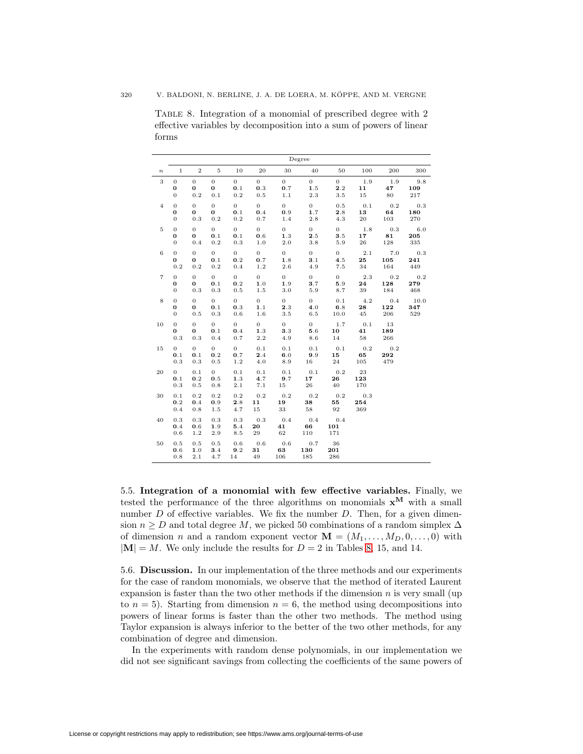<span id="page-23-0"></span>Table 8. Integration of a monomial of prescribed degree with 2 effective variables by decomposition into a sum of powers of linear forms

|                   | Degree                                     |                                |                                   |                                       |                                  |                                  |                                       |                              |                        |                   |                    |
|-------------------|--------------------------------------------|--------------------------------|-----------------------------------|---------------------------------------|----------------------------------|----------------------------------|---------------------------------------|------------------------------|------------------------|-------------------|--------------------|
| $\boldsymbol{n}$  | $1\,$                                      | $\overline{2}$                 | 5                                 | 10                                    | 20                               | 30                               | 40                                    | 50                           | 100                    | 200               | 300                |
| 3                 | $\mathbf 0$<br>0<br>$\boldsymbol{0}$       | $\overline{0}$<br>0<br>0.2     | $\mathbf 0$<br>$\bf{0}$<br>0.1    | $\overline{0}$<br>0.1<br>0.2          | $\overline{0}$<br>0.3<br>0.5     | $\overline{0}$<br>0.7<br>1.1     | $\overline{0}$<br>1.5<br>2.3          | $\overline{0}$<br>2.2<br>3.5 | 1.9<br>11<br>$15\,$    | 1.9<br>47<br>80   | 9.8<br>109<br>217  |
| $\overline{4}$    | $\theta$<br>$\bf o$<br>$\mathbf{0}$        | $\mathbf{0}$<br>0<br>0.3       | $\overline{0}$<br>$\bf{0}$<br>0.2 | $\overline{0}$<br>0.1<br>$\rm 0.2$    | $\overline{0}$<br>0.4<br>0.7     | $\overline{0}$<br>0.9<br>1.4     | $\overline{0}$<br>1.7<br>$_{\rm 2.8}$ | 0.5<br>2.8<br>4.3            | 0.1<br>13<br>$\rm 20$  | 0.2<br>64<br>103  | 0.3<br>180<br>270  |
| $\rm 5$           | $\overline{0}$<br>$\bf o$<br>0             | $\mathbf{0}$<br>0<br>0.4       | $\overline{0}$<br>0.1<br>0.2      | $\overline{0}$<br>0.1<br>$\rm 0.3$    | $\overline{0}$<br>0.6<br>1.0     | $\overline{0}$<br>1.3<br>$2.0\,$ | $\overline{0}$<br>2.5<br>$_{\rm 3.8}$ | $\overline{0}$<br>3.5<br>5.9 | 1.8<br>17<br>$\bf{26}$ | 0.3<br>81<br>128  | 6.0<br>205<br>335  |
| $\,$ 6 $\,$       | $\mathbf{0}$<br>$\bf{0}$<br>0.2            | $\mathbf{0}$<br>0<br>$0.2\,$   | $\overline{0}$<br>0.1<br>0.2      | $\overline{0}$<br>0.2<br>0.4          | $\overline{0}$<br>0.7<br>1.2     | $\overline{0}$<br>1.8<br>$2.6\,$ | $\overline{0}$<br>3.1<br>4.9          | $\overline{0}$<br>4.5<br>7.5 | 2.1<br>25<br>34        | 7.0<br>105<br>164 | 0.3<br>241<br>449  |
| $\scriptstyle{7}$ | $\mathbf{0}$<br>0<br>0                     | $\mathbf{0}$<br>0<br>0.3       | $\overline{0}$<br>0.1<br>0.3      | $\overline{0}$<br>0.2<br>0.5          | $\overline{0}$<br>1.0<br>$1.5\,$ | $\overline{0}$<br>1.9<br>3.0     | $\overline{0}$<br>3.7<br>5.9          | $\overline{0}$<br>5.9<br>8.7 | $2.3\,$<br>24<br>39    | 0.2<br>128<br>184 | 0.2<br>279<br>468  |
| 8                 | $\mathbf{0}$<br>$\bf{0}$<br>$\overline{0}$ | $\mathbf{0}$<br>0<br>0.5       | $\mathbf{0}$<br>0.1<br>0.3        | $\overline{0}$<br>0.3<br>$_{\rm 0.6}$ | $\overline{0}$<br>1.1<br>1.6     | $\overline{0}$<br>2.3<br>$3.5\,$ | 0<br>4.0<br>$6.5\,$                   | 0.1<br>6.8<br>10.0           | 4.2<br>28<br>45        | 0.4<br>122<br>206 | 10.0<br>347<br>529 |
| 10                | $\theta$<br>0<br>0.3                       | $\overline{0}$<br>0<br>0.3     | $\overline{0}$<br>0.1<br>0.4      | $\overline{0}$<br>0.4<br>0.7          | $\overline{0}$<br>1.3<br>2.2     | $\overline{0}$<br>3.3<br>4.9     | $\overline{0}$<br>5.6<br>8.6          | 1.7<br>10<br>14              | 0.1<br>41<br>58        | 13<br>189<br>266  |                    |
| $15\,$            | $\overline{0}$<br>0.1<br>0.3               | $\mathbf{0}$<br>0.1<br>$0.3\,$ | $\overline{0}$<br>0.2<br>0.5      | $\overline{0}$<br>0.7<br>1.2          | 0.1<br>2.4<br>4.0                | 0.1<br>6.0<br>8.9                | 0.1<br>9.9<br>16                      | 0.1<br>15<br>24              | 0.2<br>65<br>105       | 0.2<br>292<br>479 |                    |
| 20                | $\overline{0}$<br>0.1<br>0.3               | 0.1<br>0.2<br>0.5              | $\overline{0}$<br>0.5<br>0.8      | 0.1<br>1.3<br>$2.1\,$                 | 0.1<br>4.7<br>7.1                | 0.1<br>9.7<br>15                 | 0.1<br>17<br>$\bf{^{26}}$             | 0.2<br>26<br>40              | 23<br>123<br>170       |                   |                    |
| 30                | 0.1<br>0.2<br>0.4                          | 0.2<br>0.4<br>0.8              | 0.2<br>0.9<br>1.5                 | 0.2<br>2.8<br>4.7                     | 0.2<br>11<br>15                  | 0.2<br>19<br>33                  | 0.2<br>38<br>58                       | 0.2<br>55<br>92              | 0.3<br>254<br>369      |                   |                    |
| 40                | 0.3<br>0.4<br>0.6                          | 0.3<br>0.6<br>1.2              | 0.3<br>1.9<br>2.9                 | 0.3<br>5.4<br>8.5                     | 0.3<br>20<br>29                  | 0.4<br>41<br>62                  | 0.4<br>66<br>110                      | 0.4<br>101<br>171            |                        |                   |                    |
| 50                | 0.5<br>0.6<br>0.8                          | 0.5<br>1.0<br>2.1              | 0.5<br>3.4<br>4.7                 | 0.6<br>9.2<br>14                      | 0.6<br>31<br>49                  | 0.6<br>63<br>106                 | 0.7<br>130<br>185                     | - 36<br>201<br>286           |                        |                   |                    |

5.5. **Integration of a monomial with few effective variables.** Finally, we tested the performance of the three algorithms on monomials  $x^M$  with a small number  $D$  of effective variables. We fix the number  $D$ . Then, for a given dimension  $n > D$  and total degree M, we picked 50 combinations of a random simplex  $\Delta$ of dimension n and a random exponent vector  $\mathbf{M} = (M_1, \ldots, M_D, 0, \ldots, 0)$  with  $|\mathbf{M}| = M$ . We only include the results for  $D = 2$  in Tables [8,](#page-23-0) 15, and 14.

5.6. **Discussion.** In our implementation of the three methods and our experiments for the case of random monomials, we observe that the method of iterated Laurent expansion is faster than the two other methods if the dimension  $n$  is very small (up to  $n = 5$ ). Starting from dimension  $n = 6$ , the method using decompositions into powers of linear forms is faster than the other two methods. The method using Taylor expansion is always inferior to the better of the two other methods, for any combination of degree and dimension.

In the experiments with random dense polynomials, in our implementation we did not see significant savings from collecting the coefficients of the same powers of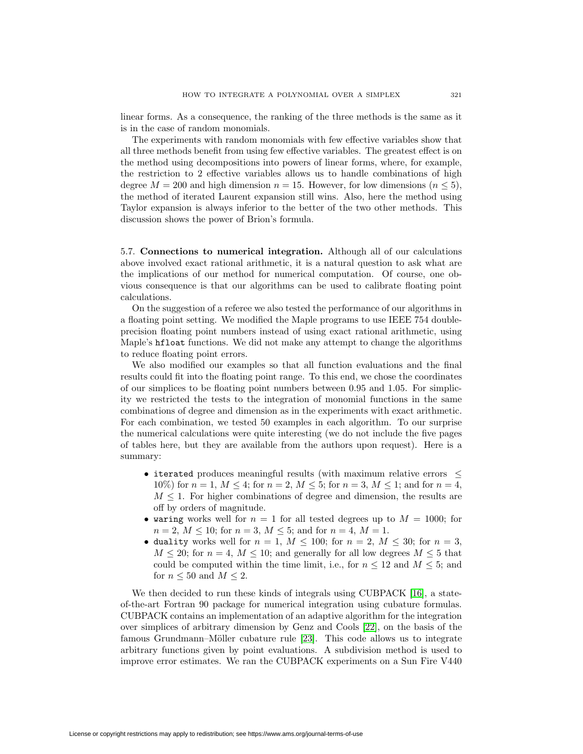linear forms. As a consequence, the ranking of the three methods is the same as it is in the case of random monomials.

The experiments with random monomials with few effective variables show that all three methods benefit from using few effective variables. The greatest effect is on the method using decompositions into powers of linear forms, where, for example, the restriction to 2 effective variables allows us to handle combinations of high degree  $M = 200$  and high dimension  $n = 15$ . However, for low dimensions  $(n \leq 5)$ , the method of iterated Laurent expansion still wins. Also, here the method using Taylor expansion is always inferior to the better of the two other methods. This discussion shows the power of Brion's formula.

5.7. **Connections to numerical integration.** Although all of our calculations above involved exact rational arithmetic, it is a natural question to ask what are the implications of our method for numerical computation. Of course, one obvious consequence is that our algorithms can be used to calibrate floating point calculations.

On the suggestion of a referee we also tested the performance of our algorithms in a floating point setting. We modified the Maple programs to use IEEE 754 doubleprecision floating point numbers instead of using exact rational arithmetic, using Maple's hfloat functions. We did not make any attempt to change the algorithms to reduce floating point errors.

We also modified our examples so that all function evaluations and the final results could fit into the floating point range. To this end, we chose the coordinates of our simplices to be floating point numbers between 0.95 and 1.05. For simplicity we restricted the tests to the integration of monomial functions in the same combinations of degree and dimension as in the experiments with exact arithmetic. For each combination, we tested 50 examples in each algorithm. To our surprise the numerical calculations were quite interesting (we do not include the five pages of tables here, but they are available from the authors upon request). Here is a summary:

- iterated produces meaningful results (with maximum relative errors  $\leq$ 10%) for  $n = 1$ ,  $M \le 4$ ; for  $n = 2$ ,  $M \le 5$ ; for  $n = 3$ ,  $M \le 1$ ; and for  $n = 4$ .  $M \leq 1$ . For higher combinations of degree and dimension, the results are off by orders of magnitude.
- waring works well for  $n = 1$  for all tested degrees up to  $M = 1000$ ; for  $n = 2, M \le 10$ ; for  $n = 3, M \le 5$ ; and for  $n = 4, M = 1$ .
- duality works well for  $n = 1$ ,  $M \le 100$ ; for  $n = 2$ ,  $M \le 30$ ; for  $n = 3$ ,  $M \leq 20$ ; for  $n = 4$ ,  $M \leq 10$ ; and generally for all low degrees  $M \leq 5$  that could be computed within the time limit, i.e., for  $n \leq 12$  and  $M \leq 5$ ; and for  $n \leq 50$  and  $M \leq 2$ .

We then decided to run these kinds of integrals using CUBPACK [\[16\]](#page-27-21), a stateof-the-art Fortran 90 package for numerical integration using cubature formulas. CUBPACK contains an implementation of an adaptive algorithm for the integration over simplices of arbitrary dimension by Genz and Cools [\[22\]](#page-27-22), on the basis of the famous Grundmann–Möller cubature rule [\[23\]](#page-27-23). This code allows us to integrate arbitrary functions given by point evaluations. A subdivision method is used to improve error estimates. We ran the CUBPACK experiments on a Sun Fire V440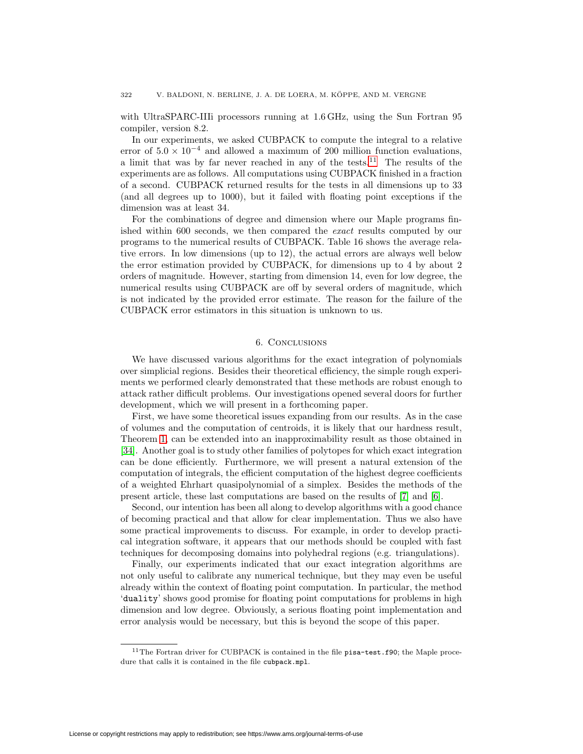with UltraSPARC-IIIi processors running at 1.6 GHz, using the Sun Fortran 95 compiler, version 8.2.

In our experiments, we asked CUBPACK to compute the integral to a relative error of  $5.0 \times 10^{-4}$  and allowed a maximum of 200 million function evaluations, a limit that was by far never reached in any of the tests.<sup>[11](#page-25-0)</sup> The results of the experiments are as follows. All computations using CUBPACK finished in a fraction of a second. CUBPACK returned results for the tests in all dimensions up to 33 (and all degrees up to 1000), but it failed with floating point exceptions if the dimension was at least 34.

For the combinations of degree and dimension where our Maple programs finished within 600 seconds, we then compared the exact results computed by our programs to the numerical results of CUBPACK. Table 16 shows the average relative errors. In low dimensions (up to 12), the actual errors are always well below the error estimation provided by CUBPACK, for dimensions up to 4 by about 2 orders of magnitude. However, starting from dimension 14, even for low degree, the numerical results using CUBPACK are off by several orders of magnitude, which is not indicated by the provided error estimate. The reason for the failure of the CUBPACK error estimators in this situation is unknown to us.

## 6. Conclusions

We have discussed various algorithms for the exact integration of polynomials over simplicial regions. Besides their theoretical efficiency, the simple rough experiments we performed clearly demonstrated that these methods are robust enough to attack rather difficult problems. Our investigations opened several doors for further development, which we will present in a forthcoming paper.

First, we have some theoretical issues expanding from our results. As in the case of volumes and the computation of centroids, it is likely that our hardness result, Theorem [1,](#page-1-0) can be extended into an inapproximability result as those obtained in [\[34\]](#page-27-8). Another goal is to study other families of polytopes for which exact integration can be done efficiently. Furthermore, we will present a natural extension of the computation of integrals, the efficient computation of the highest degree coefficients of a weighted Ehrhart quasipolynomial of a simplex. Besides the methods of the present article, these last computations are based on the results of [\[7\]](#page-26-12) and [\[6\]](#page-26-13).

Second, our intention has been all along to develop algorithms with a good chance of becoming practical and that allow for clear implementation. Thus we also have some practical improvements to discuss. For example, in order to develop practical integration software, it appears that our methods should be coupled with fast techniques for decomposing domains into polyhedral regions (e.g. triangulations).

Finally, our experiments indicated that our exact integration algorithms are not only useful to calibrate any numerical technique, but they may even be useful already within the context of floating point computation. In particular, the method 'duality' shows good promise for floating point computations for problems in high dimension and low degree. Obviously, a serious floating point implementation and error analysis would be necessary, but this is beyond the scope of this paper.

<span id="page-25-0"></span><sup>&</sup>lt;sup>11</sup>The Fortran driver for CUBPACK is contained in the file pisa-test.f90; the Maple procedure that calls it is contained in the file cubpack.mpl.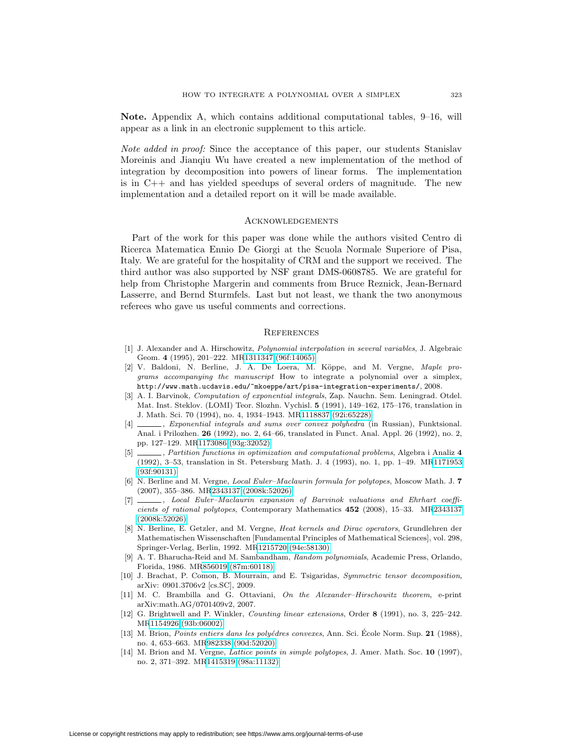**Note.** Appendix A, which contains additional computational tables, 9–16, will appear as a link in an electronic supplement to this article.

Note added in proof: Since the acceptance of this paper, our students Stanislav Moreinis and Jianqiu Wu have created a new implementation of the method of integration by decomposition into powers of linear forms. The implementation is in C++ and has yielded speedups of several orders of magnitude. The new implementation and a detailed report on it will be made available.

### Acknowledgements

Part of the work for this paper was done while the authors visited Centro di Ricerca Matematica Ennio De Giorgi at the Scuola Normale Superiore of Pisa, Italy. We are grateful for the hospitality of CRM and the support we received. The third author was also supported by NSF grant DMS-0608785. We are grateful for help from Christophe Margerin and comments from Bruce Reznick, Jean-Bernard Lasserre, and Bernd Sturmfels. Last but not least, we thank the two anonymous referees who gave us useful comments and corrections.

## **REFERENCES**

- <span id="page-26-6"></span>[1] J. Alexander and A. Hirschowitz, *Polynomial interpolation in several variables*, J. Algebraic Geom. **4** (1995), 201–222. M[R1311347 \(96f:14065\)](http://www.ams.org/mathscinet-getitem?mr=1311347)
- <span id="page-26-11"></span>[2] V. Baldoni, N. Berline, J. A. De Loera, M. Köppe, and M. Vergne, Maple programs accompanying the manuscript How to integrate a polynomial over a simplex, http://www.math.ucdavis.edu/~mkoeppe/art/pisa-integration-experiments/, 2008.
- <span id="page-26-2"></span>[3] A. I. Barvinok, Computation of exponential integrals, Zap. Nauchn. Sem. Leningrad. Otdel. Mat. Inst. Steklov. (LOMI) Teor. Slozhn. Vychisl. **5** (1991), 149–162, 175–176, translation in J. Math. Sci. 70 (1994), no. 4, 1934–1943. M[R1118837 \(92i:65228\)](http://www.ams.org/mathscinet-getitem?mr=1118837)
- <span id="page-26-9"></span>[4] , Exponential integrals and sums over convex polyhedra (in Russian), Funktsional. Anal. i Prilozhen. **26** (1992), no. 2, 64–66, translated in Funct. Anal. Appl. 26 (1992), no. 2, pp. 127–129. M[R1173086 \(93g:32052\)](http://www.ams.org/mathscinet-getitem?mr=1173086)
- <span id="page-26-3"></span>[5] , Partition functions in optimization and computational problems, Algebra i Analiz **4** (1992), 3–53, translation in St. Petersburg Math. J. 4 (1993), no. 1, pp. 1–49. M[R1171953](http://www.ams.org/mathscinet-getitem?mr=1171953) [\(93f:90131\)](http://www.ams.org/mathscinet-getitem?mr=1171953)
- <span id="page-26-13"></span>[6] N. Berline and M. Vergne, Local Euler–Maclaurin formula for polytopes, Moscow Math. J. **7** (2007), 355–386. M[R2343137 \(2008k:52026\)](http://www.ams.org/mathscinet-getitem?mr=2343137)
- <span id="page-26-12"></span>[7] , Local Euler–Maclaurin expansion of Barvinok valuations and Ehrhart coefficients of rational polytopes, Contemporary Mathematics **452** (2008), 15–33. M[R2343137](http://www.ams.org/mathscinet-getitem?mr=2343137) [\(2008k:52026\)](http://www.ams.org/mathscinet-getitem?mr=2343137)
- <span id="page-26-5"></span>[8] N. Berline, E. Getzler, and M. Vergne, Heat kernels and Dirac operators, Grundlehren der Mathematischen Wissenschaften [Fundamental Principles of Mathematical Sciences], vol. 298, Springer-Verlag, Berlin, 1992. M[R1215720 \(94e:58130\)](http://www.ams.org/mathscinet-getitem?mr=1215720)
- <span id="page-26-0"></span>A. T. Bharucha-Reid and M. Sambandham, Random polynomials, Academic Press, Orlando, Florida, 1986. M[R856019 \(87m:60118\)](http://www.ams.org/mathscinet-getitem?mr=856019)
- <span id="page-26-8"></span>[10] J. Brachat, P. Comon, B. Mourrain, and E. Tsigaridas, Symmetric tensor decomposition, arXiv: 0901.3706v2 [cs.SC], 2009.
- <span id="page-26-7"></span>[11] M. C. Brambilla and G. Ottaviani, On the Alexander–Hirschowitz theorem, e-print arXiv:math.AG/0701409v2, 2007.
- <span id="page-26-1"></span>[12] G. Brightwell and P. Winkler, Counting linear extensions, Order **8** (1991), no. 3, 225–242. M[R1154926 \(93b:06002\)](http://www.ams.org/mathscinet-getitem?mr=1154926)
- <span id="page-26-4"></span>[13] M. Brion, *Points entiers dans les polyédres convexes*, Ann. Sci. École Norm. Sup. 21 (1988), no. 4, 653–663. M[R982338 \(90d:52020\)](http://www.ams.org/mathscinet-getitem?mr=982338)
- <span id="page-26-10"></span>[14] M. Brion and M. Vergne, Lattice points in simple polytopes, J. Amer. Math. Soc. **10** (1997), no. 2, 371–392. M[R1415319 \(98a:11132\)](http://www.ams.org/mathscinet-getitem?mr=1415319)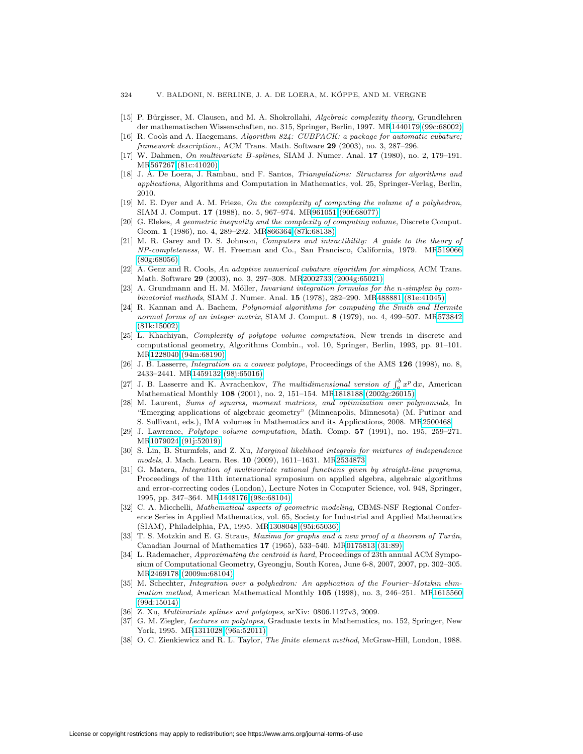- <span id="page-27-9"></span>[15] P. Bürgisser, M. Clausen, and M. A. Shokrollahi, Algebraic complexity theory, Grundlehren der mathematischen Wissenschaften, no. 315, Springer, Berlin, 1997. M[R1440179 \(99c:68002\)](http://www.ams.org/mathscinet-getitem?mr=1440179)
- <span id="page-27-21"></span>[16] R. Cools and A. Haegemans, Algorithm 824: CUBPACK: a package for automatic cubature; framework description., ACM Trans. Math. Software **29** (2003), no. 3, 287–296.
- <span id="page-27-20"></span>[17] W. Dahmen, On multivariate B-splines, SIAM J. Numer. Anal. **17** (1980), no. 2, 179–191. M[R567267 \(81c:41020\)](http://www.ams.org/mathscinet-getitem?mr=567267)
- <span id="page-27-18"></span>[18] J. A. De Loera, J. Rambau, and F. Santos, Triangulations: Structures for algorithms and applications, Algorithms and Computation in Mathematics, vol. 25, Springer-Verlag, Berlin, 2010.
- <span id="page-27-4"></span>[19] M. E. Dyer and A. M. Frieze, On the complexity of computing the volume of a polyhedron, SIAM J. Comput. **17** (1988), no. 5, 967–974. M[R961051 \(90f:68077\)](http://www.ams.org/mathscinet-getitem?mr=961051)
- <span id="page-27-7"></span>[20] G. Elekes, A geometric inequality and the complexity of computing volume, Discrete Comput. Geom. **1** (1986), no. 4, 289–292. M[R866364 \(87k:68138\)](http://www.ams.org/mathscinet-getitem?mr=866364)
- <span id="page-27-13"></span>[21] M. R. Garey and D. S. Johnson, Computers and intractibility: A guide to the theory of NP-completeness, W. H. Freeman and Co., San Francisco, California, 1979. M[R519066](http://www.ams.org/mathscinet-getitem?mr=519066)  $(80°68056)$
- <span id="page-27-22"></span>[22] A. Genz and R. Cools, An adaptive numerical cubature algorithm for simplices, ACM Trans. Math. Software **29** (2003), no. 3, 297–308. M[R2002733 \(2004g:65021\)](http://www.ams.org/mathscinet-getitem?mr=2002733)
- <span id="page-27-23"></span>[23] A. Grundmann and H. M. Möller, *Invariant integration formulas for the n-simplex by com*binatorial methods, SIAM J. Numer. Anal. **15** (1978), 282–290. M[R488881 \(81e:41045\)](http://www.ams.org/mathscinet-getitem?mr=488881)
- <span id="page-27-14"></span>[24] R. Kannan and A. Bachem, Polynomial algorithms for computing the Smith and Hermite normal forms of an integer matrix, SIAM J. Comput. **8** (1979), no. 4, 499–507. M[R573842](http://www.ams.org/mathscinet-getitem?mr=573842) [\(81k:15002\)](http://www.ams.org/mathscinet-getitem?mr=573842)
- <span id="page-27-5"></span>[25] L. Khachiyan, Complexity of polytope volume computation, New trends in discrete and computational geometry, Algorithms Combin., vol. 10, Springer, Berlin, 1993, pp. 91–101. M[R1228040 \(94m:68190\)](http://www.ams.org/mathscinet-getitem?mr=1228040)
- <span id="page-27-17"></span>[26] J. B. Lasserre, Integration on a convex polytope, Proceedings of the AMS **126** (1998), no. 8, 2433–2441. M[R1459132 \(98j:65016\)](http://www.ams.org/mathscinet-getitem?mr=1459132)
- <span id="page-27-11"></span>[27] J. B. Lasserre and K. Avrachenkov, *The multidimensional version of*  $\int_a^b x^p dx$ , American Mathematical Monthly **108** (2001), no. 2, 151–154. M[R1818188 \(2002g:26015\)](http://www.ams.org/mathscinet-getitem?mr=1818188)
- <span id="page-27-0"></span>[28] M. Laurent, Sums of squares, moment matrices, and optimization over polynomials, In "Emerging applications of algebraic geometry" (Minneapolis, Minnesota) (M. Putinar and S. Sullivant, eds.), IMA volumes in Mathematics and its Applications, 2008. M[R2500468](http://www.ams.org/mathscinet-getitem?mr=2500468)
- <span id="page-27-6"></span>[29] J. Lawrence, Polytope volume computation, Math. Comp. **57** (1991), no. 195, 259–271. M[R1079024 \(91j:52019\)](http://www.ams.org/mathscinet-getitem?mr=1079024)
- <span id="page-27-3"></span>[30] S. Lin, B. Sturmfels, and Z. Xu, Marginal likelihood integrals for mixtures of independence models, J. Mach. Learn. Res. **10** (2009), 1611–1631. M[R2534873](http://www.ams.org/mathscinet-getitem?mr=2534873)
- <span id="page-27-10"></span>[31] G. Matera, Integration of multivariate rational functions given by straight-line programs, Proceedings of the 11th international symposium on applied algebra, algebraic algorithms and error-correcting codes (London), Lecture Notes in Computer Science, vol. 948, Springer, 1995, pp. 347–364. M[R1448176 \(98c:68104\)](http://www.ams.org/mathscinet-getitem?mr=1448176)
- <span id="page-27-1"></span>[32] C. A. Micchelli, *Mathematical aspects of geometric modeling*, CBMS-NSF Regional Conference Series in Applied Mathematics, vol. 65, Society for Industrial and Applied Mathematics (SIAM), Philadelphia, PA, 1995. M[R1308048 \(95i:65036\)](http://www.ams.org/mathscinet-getitem?mr=1308048)
- <span id="page-27-12"></span>[33] T. S. Motzkin and E. G. Straus, *Maxima for graphs and a new proof of a theorem of Turán*, Canadian Journal of Mathematics **17** (1965), 533–540. M[R0175813 \(31:89\)](http://www.ams.org/mathscinet-getitem?mr=0175813)
- <span id="page-27-8"></span>[34] L. Rademacher, Approximating the centroid is hard, Proceedings of 23th annual ACM Symposium of Computational Geometry, Gyeongju, South Korea, June 6-8, 2007, 2007, pp. 302–305. M[R2469178 \(2009m:68104\)](http://www.ams.org/mathscinet-getitem?mr=2469178)
- <span id="page-27-16"></span>[35] M. Schechter, Integration over a polyhedron: An application of the Fourier–Motzkin elimination method, American Mathematical Monthly **105** (1998), no. 3, 246–251. M[R1615560](http://www.ams.org/mathscinet-getitem?mr=1615560) [\(99d:15014\)](http://www.ams.org/mathscinet-getitem?mr=1615560)
- <span id="page-27-19"></span><span id="page-27-15"></span>[36] Z. Xu, Multivariate splines and polytopes, arXiv: 0806.1127v3, 2009.
- [37] G. M. Ziegler, Lectures on polytopes, Graduate texts in Mathematics, no. 152, Springer, New York, 1995. M[R1311028 \(96a:52011\)](http://www.ams.org/mathscinet-getitem?mr=1311028)
- <span id="page-27-2"></span>[38] O. C. Zienkiewicz and R. L. Taylor, The finite element method, McGraw-Hill, London, 1988.